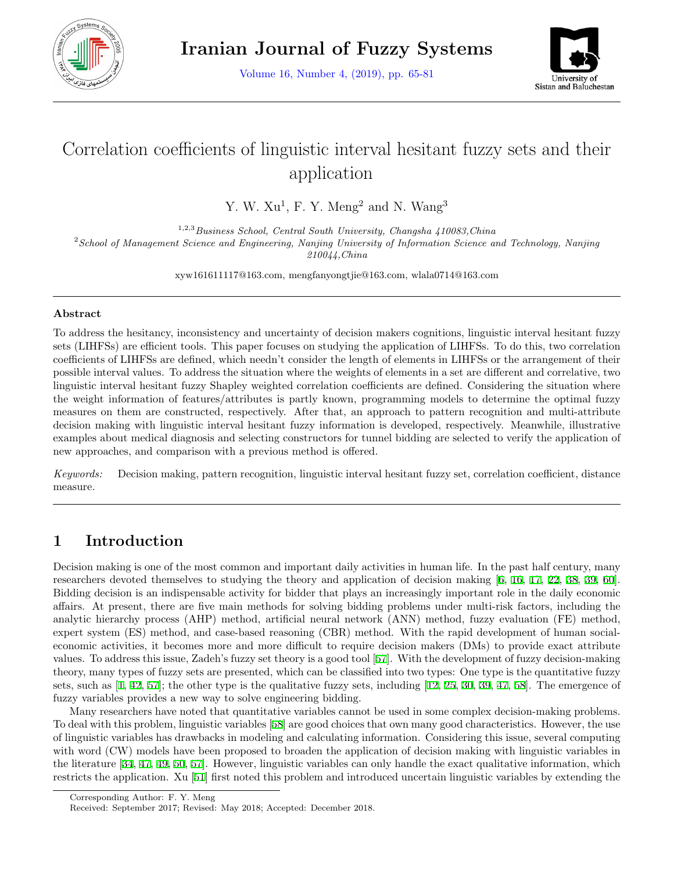

Volume 16, Number 4, (2019), pp. 65-81



# Correlation coefficients of linguistic interval hesitant fuzzy sets and their application

Y. W.  $Xu^1$ , F. Y. Meng<sup>2</sup> and N. Wang<sup>3</sup>

1,2,3*Business School, Central South University, Changsha 410083,China* <sup>2</sup>*School of Management Science and Engineering, Nanjing University of Information Science and Technology, Nanjing 210044,China*

xyw161611117@163.com, mengfanyongtjie@163.com, wlala0714@163.com

### **Abstract**

To address the hesitancy, inconsistency and uncertainty of decision makers cognitions, linguistic interval hesitant fuzzy sets (LIHFSs) are efficient tools. This paper focuses on studying the application of LIHFSs. To do this, two correlation coefficients of LIHFSs are defined, which needn't consider the length of elements in LIHFSs or the arrangement of their possible interval values. To address the situation where the weights of elements in a set are different and correlative, two linguistic interval hesitant fuzzy Shapley weighted correlation coefficients are defined. Considering the situation where the weight information of features/attributes is partly known, programming models to determine the optimal fuzzy measures on them are constructed, respectively. After that, an approach to pattern recognition and multi-attribute decision making with linguistic interval hesitant fuzzy information is developed, respectively. Meanwhile, illustrative examples about medical diagnosis and selecting constructors for tunnel bidding are selected to verify the application of new approaches, and comparison with a previous method is offered.

*Keywords:* Decision making, pattern recognition, linguistic interval hesitant fuzzy set, correlation coefficient, distance measure.

# **1 Introduction**

Decision making is one of the most common and important daily activities in human life. In the past half century, many researchers devoted themselves to studying the theory and application of decision making [[6](#page-14-0), [16,](#page-15-0) [17](#page-15-1), [22](#page-15-2), [38,](#page-16-0) [39,](#page-16-1) [60](#page-16-2)]. Bidding decision is an indispensable activity for bidder that plays an increasingly important role in the daily economic affairs. At present, there are five main methods for solving bidding problems under multi-risk factors, including the analytic hierarchy process (AHP) method, artificial neural network (ANN) method, fuzzy evaluation (FE) method, expert system (ES) method, and case-based reasoning (CBR) method. With the rapid development of human socialeconomic activities, it becomes more and more difficult to require decision makers (DMs) to provide exact attribute values. To address this issue, Zadeh's fuzzy set theory is a good tool [\[57](#page-16-3)]. With the development of fuzzy decision-making theory, many types of fuzzy sets are presented, which can be classified into two types: One type is the quantitative fuzzy sets, such as [\[1](#page-14-1), [42](#page-16-4), [57](#page-16-3)]; the other type is the qualitative fuzzy sets, including [[12](#page-15-3), [25,](#page-15-4) [30,](#page-15-5) [39,](#page-16-1) [47,](#page-16-5) [58\]](#page-16-6). The emergence of fuzzy variables provides a new way to solve engineering bidding.

Many researchers have noted that quantitative variables cannot be used in some complex decision-making problems. To deal with this problem, linguistic variables [[58](#page-16-6)] are good choices that own many good characteristics. However, the use of linguistic variables has drawbacks in modeling and calculating information. Considering this issue, several computing with word (CW) models have been proposed to broaden the application of decision making with linguistic variables in the literature [\[34](#page-15-6), [47,](#page-16-5) [49](#page-16-7), [50](#page-16-8), [57\]](#page-16-3). However, linguistic variables can only handle the exact qualitative information, which restricts the application. Xu [\[51](#page-16-9)] first noted this problem and introduced uncertain linguistic variables by extending the

Corresponding Author: F. Y. Meng

Received: September 2017; Revised: May 2018; Accepted: December 2018.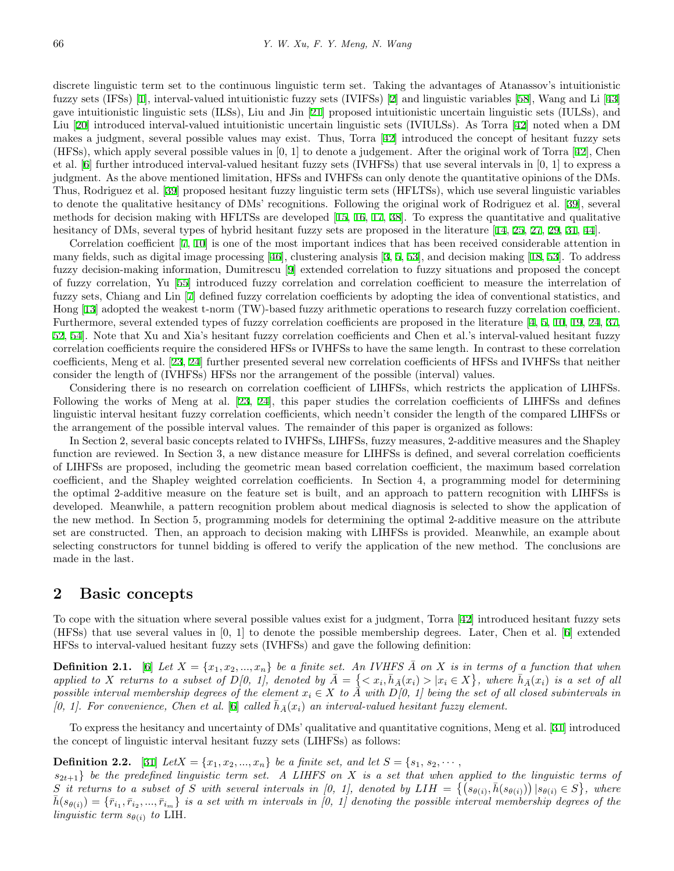discrete linguistic term set to the continuous linguistic term set. Taking the advantages of Atanassov's intuitionistic fuzzy sets (IFSs) [\[1](#page-14-1)], interval-valued intuitionistic fuzzy sets (IVIFSs) [\[2](#page-14-2)] and linguistic variables [[58\]](#page-16-6), Wang and Li [\[43](#page-16-10)] gave intuitionistic linguistic sets (ILSs), Liu and Jin [[21](#page-15-7)] proposed intuitionistic uncertain linguistic sets (IULSs), and Liu [\[20](#page-15-8)] introduced interval-valued intuitionistic uncertain linguistic sets (IVIULSs). As Torra [[42\]](#page-16-4) noted when a DM makes a judgment, several possible values may exist. Thus, Torra [\[42](#page-16-4)] introduced the concept of hesitant fuzzy sets (HFSs), which apply several possible values in [0, 1] to denote a judgement. After the original work of Torra [[42\]](#page-16-4), Chen et al. [\[6](#page-14-0)] further introduced interval-valued hesitant fuzzy sets (IVHFSs) that use several intervals in [0, 1] to express a judgment. As the above mentioned limitation, HFSs and IVHFSs can only denote the quantitative opinions of the DMs. Thus, Rodriguez et al. [[39\]](#page-16-1) proposed hesitant fuzzy linguistic term sets (HFLTSs), which use several linguistic variables to denote the qualitative hesitancy of DMs' recognitions. Following the original work of Rodriguez et al. [[39](#page-16-1)], several methods for decision making with HFLTSs are developed [[15,](#page-15-9) [16,](#page-15-0) [17](#page-15-1), [38](#page-16-0)]. To express the quantitative and qualitative hesitancy of DMs, several types of hybrid hesitant fuzzy sets are proposed in the literature [[14](#page-15-10), [25](#page-15-4), [27](#page-15-11), [29](#page-15-12), [31](#page-15-13), [44](#page-16-11)].

Correlation coefficient [\[7](#page-14-3), [10](#page-15-14)] is one of the most important indices that has been received considerable attention in many fields, such as digital image processing [[46\]](#page-16-12), clustering analysis [[3,](#page-14-4) [5](#page-14-5), [53\]](#page-16-13), and decision making [[18,](#page-15-15) [53\]](#page-16-13). To address fuzzy decision-making information, Dumitrescu [[9\]](#page-15-16) extended correlation to fuzzy situations and proposed the concept of fuzzy correlation, Yu [\[55](#page-16-14)] introduced fuzzy correlation and correlation coefficient to measure the interrelation of fuzzy sets, Chiang and Lin [\[7](#page-14-3)] defined fuzzy correlation coefficients by adopting the idea of conventional statistics, and Hong [[13\]](#page-15-17) adopted the weakest t-norm (TW)-based fuzzy arithmetic operations to research fuzzy correlation coefficient. Furthermore, several extended types of fuzzy correlation coefficients are proposed in the literature [[4](#page-14-6), [5](#page-14-5), [10](#page-15-14), [19](#page-15-18), [24](#page-15-19), [37](#page-16-15), [52](#page-16-16), [54](#page-16-17)]. Note that Xu and Xia's hesitant fuzzy correlation coefficients and Chen et al.'s interval-valued hesitant fuzzy correlation coefficients require the considered HFSs or IVHFSs to have the same length. In contrast to these correlation coefficients, Meng et al. [[23,](#page-15-20) [24\]](#page-15-19) further presented several new correlation coefficients of HFSs and IVHFSs that neither consider the length of (IVHFSs) HFSs nor the arrangement of the possible (interval) values.

Considering there is no research on correlation coefficient of LIHFSs, which restricts the application of LIHFSs. Following the works of Meng at al. [[23,](#page-15-20) [24](#page-15-19)], this paper studies the correlation coefficients of LIHFSs and defines linguistic interval hesitant fuzzy correlation coefficients, which needn't consider the length of the compared LIHFSs or the arrangement of the possible interval values. The remainder of this paper is organized as follows:

In Section 2, several basic concepts related to IVHFSs, LIHFSs, fuzzy measures, 2-additive measures and the Shapley function are reviewed. In Section 3, a new distance measure for LIHFSs is defined, and several correlation coefficients of LIHFSs are proposed, including the geometric mean based correlation coefficient, the maximum based correlation coefficient, and the Shapley weighted correlation coefficients. In Section 4, a programming model for determining the optimal 2-additive measure on the feature set is built, and an approach to pattern recognition with LIHFSs is developed. Meanwhile, a pattern recognition problem about medical diagnosis is selected to show the application of the new method. In Section 5, programming models for determining the optimal 2-additive measure on the attribute set are constructed. Then, an approach to decision making with LIHFSs is provided. Meanwhile, an example about selecting constructors for tunnel bidding is offered to verify the application of the new method. The conclusions are made in the last.

### **2 Basic concepts**

To cope with the situation where several possible values exist for a judgment, Torra [\[42](#page-16-4)] introduced hesitant fuzzy sets (HFSs) that use several values in [0, 1] to denote the possible membership degrees. Later, Chen et al. [[6\]](#page-14-0) extended HFSs to interval-valued hesitant fuzzy sets (IVHFSs) and gave the following definition:

**Definition 2.1.** [[6\]](#page-14-0) Let  $X = \{x_1, x_2, ..., x_n\}$  be a finite set. An IVHFS  $\overline{A}$  on  $X$  is in terms of a function that when applied to X returns to a subset of  $D[0, 1]$ , denoted by  $\overline{A} = \{ \langle x_i, \overline{h}_{\overline{A}}(x_i) > | x_i \in X \}$ , where  $\overline{h}_{\overline{A}}(x_i)$  is a set of all *possible interval membership degrees of the element*  $x_i \in X$  *to*  $\overline{A}$  *with*  $D[0, 1]$  *being the set of all closed subintervals in*  $(0, 1]$ . For convenience, Chen et al.  $(6)$  called  $\bar{h}_A(x_i)$  an interval-valued hesitant fuzzy element.

To express the hesitancy and uncertainty of DMs' qualitative and quantitative cognitions, Meng et al. [[31](#page-15-13)] introduced the concept of linguistic interval hesitant fuzzy sets (LIHFSs) as follows:

#### **Definition 2.2.** [[31\]](#page-15-13) *LetX* =  $\{x_1, x_2, ..., x_n\}$  *be a finite set, and let*  $S = \{s_1, s_2, \dots,$

 $s_{2t+1}$  *be the predefined linguistic term set.* A LIHFS on X is a set that when applied to the linguistic terms of S it returns to a subset of S with several intervals in [0, 1], denoted by  $LIH = \{ (s_{\theta(i)}, \bar{h}(s_{\theta(i)})) | s_{\theta(i)} \in S \}$ , where  $\overline{h}(s_{\theta(i)}) = \{\overline{r}_{i_1}, \overline{r}_{i_2}, ..., \overline{r}_{i_m}\}\$  is a set with m intervals in [0, 1] denoting the possible interval membership degrees of the *linguistic term*  $s_{\theta(i)}$  *to* LIH.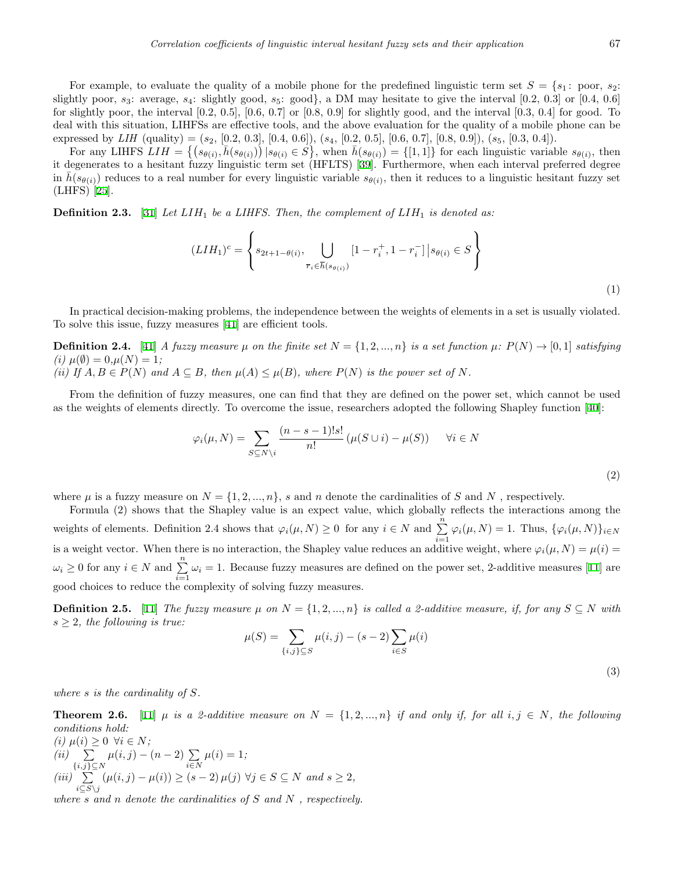For example, to evaluate the quality of a mobile phone for the predefined linguistic term set  $S = \{s_1 : \text{poor}, s_2 :$ slightly poor,  $s_3$ : average,  $s_4$ : slightly good,  $s_5$ : good}, a DM may hesitate to give the interval  $[0.2, 0.3]$  or  $[0.4, 0.6]$ for slightly poor, the interval  $[0.2, 0.5]$ ,  $[0.6, 0.7]$  or  $[0.8, 0.9]$  for slightly good, and the interval  $[0.3, 0.4]$  for good. To deal with this situation, LIHFSs are effective tools, and the above evaluation for the quality of a mobile phone can be expressed by *LIH* (quality) = (*s*2, [0.2, 0.3], [0.4, 0.6]), (*s*4, [0.2, 0.5], [0.6, 0.7], [0.8, 0.9]), (*s*5, [0.3, 0.4]).

For any LIHFS  $LIH = \{ (s_{\theta(i)}, \bar{h}(s_{\theta(i)})) | s_{\theta(i)} \in S \}$ , when  $\bar{h}(s_{\theta(i)}) = \{ [1,1] \}$  for each linguistic variable  $s_{\theta(i)}$ , then it degenerates to a hesitant fuzzy linguistic term set (HFLTS) [[39\]](#page-16-1). Furthermore, when each interval preferred degree in  $\bar{h}(s_{\theta(i)})$  reduces to a real number for every linguistic variable  $s_{\theta(i)}$ , then it reduces to a linguistic hesitant fuzzy set (LHFS) [[25\]](#page-15-4).

**Definition 2.3.** [[31\]](#page-15-13) *Let LIH*<sup>1</sup> *be a LIHFS. Then, the complement of LIH*<sup>1</sup> *is denoted as:*

$$
(LIH_1)^c = \left\{ s_{2t+1-\theta(i)}, \bigcup_{\overline{r}_i \in \overline{h}(s_{\theta(i)})} [1 - r_i^+, 1 - r_i^-] \, | s_{\theta(i)} \in S \right\}
$$
\n(1)

In practical decision-making problems, the independence between the weights of elements in a set is usually violated. To solve this issue, fuzzy measures [[41\]](#page-16-18) are efficient tools.

**Definition 2.4.** [[41\]](#page-16-18) A fuzzy measure  $\mu$  on the finite set  $N = \{1, 2, ..., n\}$  is a set function  $\mu: P(N) \to [0, 1]$  satisfying  $\mu(\emptyset) = 0, \mu(N) = 1;$ 

(ii) If  $A, B \in P(N)$  and  $A \subseteq B$ , then  $\mu(A) \leq \mu(B)$ , where  $P(N)$  is the power set of N.

From the definition of fuzzy measures, one can find that they are defined on the power set, which cannot be used as the weights of elements directly. To overcome the issue, researchers adopted the following Shapley function [[40\]](#page-16-19):

$$
\varphi_i(\mu, N) = \sum_{S \subseteq N \setminus i} \frac{(n - s - 1)!s!}{n!} (\mu(S \cup i) - \mu(S)) \quad \forall i \in N
$$
\n(2)

where  $\mu$  is a fuzzy measure on  $N = \{1, 2, ..., n\}$ , *s* and *n* denote the cardinalities of *S* and *N*, respectively.

Formula (2) shows that the Shapley value is an expect value, which globally reflects the interactions among the weights of elements. Definition 2.4 shows that  $\varphi_i(\mu, N) \ge 0$  for any  $i \in N$  and  $\sum_{i=1}^n \varphi_i(\mu, N) = 1$ . Thus,  $\{\varphi_i(\mu, N)\}_{i \in N}$ is a weight vector. When there is no interaction, the Shapley value reduces an additive weight, where  $\varphi_i(\mu, N) = \mu(i)$  $\omega_i \geq 0$  for any  $i \in N$  and  $\sum_{i=1}^n \omega_i = 1$ . Because fuzzy measures are defined on the power set, 2-additive measures [[11\]](#page-15-21) are good choices to reduce the complexity of solving fuzzy measures.

**Definition 2.5.** [\[11](#page-15-21)] *The fuzzy measure*  $\mu$  *on*  $N = \{1, 2, ..., n\}$  *is called a 2-additive measure, if, for any*  $S \subseteq N$  *with*  $s \geq 2$ *, the following is true:* 

$$
\mu(S) = \sum_{\{i,j\} \subseteq S} \mu(i,j) - (s-2) \sum_{i \in S} \mu(i)
$$
\n(3)

*where s is the cardinality of S.*

**Theorem 2.6.** [\[11](#page-15-21)]  $\mu$  is a 2-additive measure on  $N = \{1, 2, ..., n\}$  if and only if, for all  $i, j \in N$ , the following *conditions hold:*

$$
(i) \mu(i) \ge 0 \ \forall i \in N;
$$
  
\n
$$
(ii) \sum_{\{i,j\} \subseteq N} \mu(i,j) - (n-2) \sum_{i \in N} \mu(i) = 1;
$$
  
\n
$$
(iii) \sum_{i \subseteq S \setminus j} (\mu(i,j) - \mu(i)) \ge (s-2) \mu(j) \ \forall j \in S \subseteq N \ and \ s \ge 2,
$$

*where s and n denote the cardinalities of S and N , respectively.*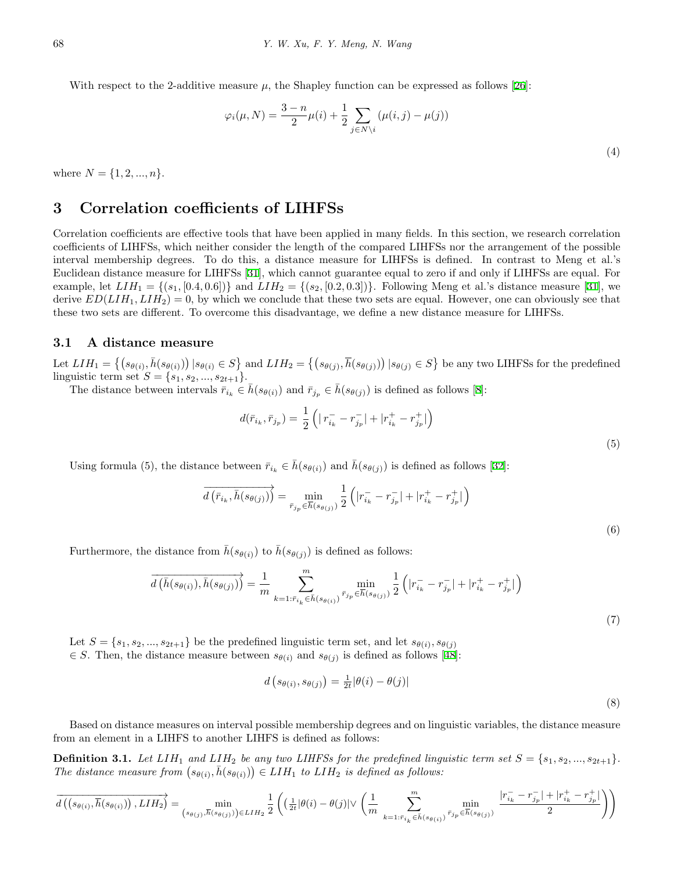With respect to the 2-additive measure  $\mu$ , the Shapley function can be expressed as follows [[26](#page-15-22)]:

$$
\varphi_i(\mu, N) = \frac{3 - n}{2} \mu(i) + \frac{1}{2} \sum_{j \in N \setminus i} (\mu(i, j) - \mu(j))
$$
\n(4)

where  $N = \{1, 2, ..., n\}$ .

# **3 Correlation coefficients of LIHFSs**

Correlation coefficients are effective tools that have been applied in many fields. In this section, we research correlation coefficients of LIHFSs, which neither consider the length of the compared LIHFSs nor the arrangement of the possible interval membership degrees. To do this, a distance measure for LIHFSs is defined. In contrast to Meng et al.'s Euclidean distance measure for LIHFSs [[31\]](#page-15-13), which cannot guarantee equal to zero if and only if LIHFSs are equal. For example, let  $LIH_1 = \{(s_1, [0.4, 0.6])\}$  and  $LIH_2 = \{(s_2, [0.2, 0.3])\}$ . Following Meng et al.'s distance measure [\[31](#page-15-13)], we derive  $ED(LIH_1, LIH_2) = 0$ , by which we conclude that these two sets are equal. However, one can obviously see that these two sets are different. To overcome this disadvantage, we define a new distance measure for LIHFSs.

#### **3.1 A distance measure**

Let  $LIH_1 = \{(s_{\theta(i)}, \bar{h}(s_{\theta(i)})) | s_{\theta(i)} \in S\}$  and  $LIH_2 = \{(s_{\theta(j)}, \bar{h}(s_{\theta(j)})) | s_{\theta(j)} \in S\}$  be any two LIHFSs for the predefined linguistic term set  $S = \{s_1, s_2, ..., s_{2t+1}\}.$ 

The distance between intervals  $\bar{r}_{i_k} \in \bar{h}(s_{\theta(i)})$  and  $\bar{r}_{j_p} \in \bar{h}(s_{\theta(j)})$  is defined as follows [\[8](#page-15-23)]:

$$
d(\bar{r}_{i_k}, \bar{r}_{j_p}) = \frac{1}{2} \left( |r_{i_k}^- - r_{j_p}^-| + |r_{i_k}^+ - r_{j_p}^+| \right)
$$

(5)

(6)

Using formula (5), the distance between  $\bar{r}_{i_k} \in \bar{h}(s_{\theta(i)})$  and  $\bar{h}(s_{\theta(i)})$  is defined as follows [[32\]](#page-15-24):

$$
\overrightarrow{d(\bar{r}_{i_k}, \bar{h}(s_{\theta(j)}))} = \min_{\bar{r}_{j_p} \in \overline{h}(s_{\theta(j)})} \frac{1}{2} (|r_{i_k}^- - r_{j_p}^-| + |r_{i_k}^+ - r_{j_p}^+|)
$$

Furthermore, the distance from  $h(s_{\theta(i)})$  to  $h(s_{\theta(j)})$  is defined as follows:

$$
\overrightarrow{d\left(\bar{h}(s_{\theta(i)}), \bar{h}(s_{\theta(j)})\right)} = \frac{1}{m} \sum_{k=1:\bar{r}_{i_k} \in \bar{h}(s_{\theta(i)})}^m \min_{\bar{r}_{j_p} \in \bar{h}(s_{\theta(j)})} \frac{1}{2} \left( |r_{i_k}^- - r_{j_p}^-| + |r_{i_k}^+ - r_{j_p}^+| \right)
$$
\n(7)

Let  $S = \{s_1, s_2, ..., s_{2t+1}\}\$ be the predefined linguistic term set, and let  $s_{\theta(i)}, s_{\theta(j)}\}$  $∈$  *S*. Then, the distance measure between  $s_{θ(i)}$  and  $s_{θ(j)}$  is defined as follows [[48\]](#page-16-20):

$$
d\left(s_{\theta(i)}, s_{\theta(j)}\right) = \frac{1}{2t} |\theta(i) - \theta(j)|\tag{8}
$$

Based on distance measures on interval possible membership degrees and on linguistic variables, the distance measure from an element in a LIHFS to another LIHFS is defined as follows:

**Definition 3.1.** Let  $LIH_1$  and  $LIH_2$  be any two LIHFSs for the predefined linguistic term set  $S = \{s_1, s_2, ..., s_{2t+1}\}$ . *The distance measure from*  $(s_{\theta(i)}, \bar{h}(s_{\theta(i)})) \in LIH_1$  *to*  $LIH_2$  *is defined as follows:* 

$$
\overrightarrow{d\left(\left(s_{\theta(i)},\overline{h}(s_{\theta(i)})\right),LIH_{2}\right)}=\min_{\left(s_{\theta(j)},\overline{h}(s_{\theta(j)})\right)\in LIH_{2}}\frac{1}{2}\left(\left(\tfrac{1}{2t}|\theta(i)-\theta(j)|\vee\left(\frac{1}{m}\sum_{k=1:\bar{r}_{i_{k}}\in\overline{h}(s_{\theta(i)})}^{m}\frac{\min}{\bar{r}_{j_{p}}}\tfrac{|\bar{r}_{i_{k}}^{-}-\bar{r}_{j_{p}}^{-}|+|\bar{r}_{i_{k}}^{+}-\bar{r}_{j_{p}}^{+}|}{2}\right)\right)
$$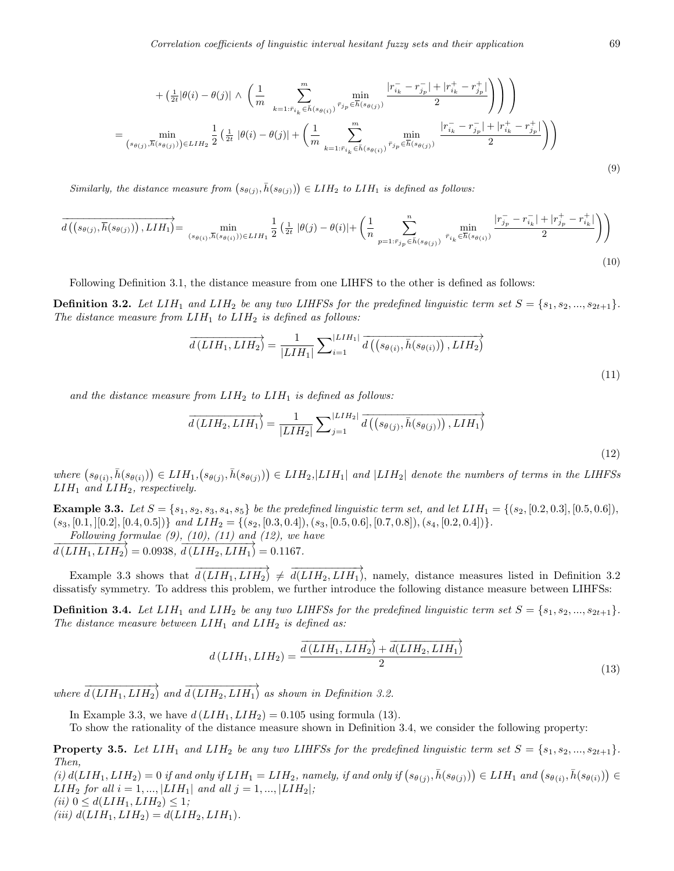$$
+\left(\frac{1}{2t}|\theta(i) - \theta(j)| \wedge \left(\frac{1}{m} \sum_{k=1:\bar{r}_{i_k} \in \bar{h}(s_{\theta(i)})}^m \frac{|\bar{r}_{i_k} - \bar{r}_{j_k}| + |\bar{r}_{i_k}^+ - \bar{r}_{j_k}|}{2}\right)\right)\right) = \min_{(s_{\theta(j)},\bar{h}(s_{\theta(j)})) \in LIH_2} \frac{1}{2} \left(\frac{1}{2t}|\theta(i) - \theta(j)| + \left(\frac{1}{m} \sum_{k=1:\bar{r}_{i_k} \in \bar{h}(s_{\theta(i)})}^m \frac{\min}{\bar{r}_{j_p} \in \bar{h}(s_{\theta(j)})} \frac{|\bar{r}_{i_k} - \bar{r}_{j_p}| + |\bar{r}_{i_k}^+ - \bar{r}_{j_p}^+|}{2}\right)\right)
$$
(9)

*Similarly, the distance measure from*  $(s_{\theta(j)}, \bar{h}(s_{\theta(j)})) \in LIH_2$  *to*  $LIH_1$  *is defined as follows:* 

$$
\overrightarrow{d\left(\left(s_{\theta(j)},\overline{h}(s_{\theta(j)})\right),LIH_{1}\right)} = \min_{(s_{\theta(i)},\overline{h}(s_{\theta(i)})) \in LIH_{1}} \frac{1}{2} \left(\frac{1}{2t} \left|\theta(j) - \theta(i)\right| + \left(\frac{1}{n} \sum_{p=1:\overline{r}_{j_{p}} \in \overline{h}(s_{\theta(j)})}^{n} \min_{\overline{r}_{i_{k}} \in \overline{h}(s_{\theta(i)})} \frac{|r_{j_{p}}^{-} - r_{i_{k}}^{-}| + |r_{j_{p}}^{+} - r_{i_{k}}^{+}|}{2}\right)\right)
$$
\n
$$
(10)
$$

Following Definition 3.1, the distance measure from one LIHFS to the other is defined as follows:

**Definition 3.2.** Let  $LIH_1$  and  $LIH_2$  be any two LIHFSs for the predefined linguistic term set  $S = \{s_1, s_2, ..., s_{2t+1}\}$ . *The distance measure from*  $LIH_1$  *to*  $LIH_2$  *is defined as follows:* 

$$
\overrightarrow{d(LIH_1, LIH_2)} = \frac{1}{|LIH_1|} \sum_{i=1}^{|LIH_1|} \overrightarrow{d((s_{\theta(i)}, \overline{h}(s_{\theta(i)})), LIH_2)}
$$
\n(11)

and the distance measure from  $L1H_2$  to  $L1H_1$  is defined as follows:

$$
\overrightarrow{d(LIH_2, LIH_1)} = \frac{1}{|LIH_2|} \sum_{j=1}^{|LIH_2|} \overrightarrow{d((s_{\theta(j)}, \overline{h}(s_{\theta(j)})), LIH_1)}
$$
\n(12)

where  $(s_{\theta(i)}, \bar{h}(s_{\theta(i)})) \in LIH_1$ ,  $(s_{\theta(j)}, \bar{h}(s_{\theta(j)})) \in LIH_2$ ,  $|LIH_1|$  and  $|LIH_2|$  denote the numbers of terms in the LIHFSs *LIH*<sup>1</sup> *and LIH*2*, respectively.*

**Example 3.3.** Let  $S = \{s_1, s_2, s_3, s_4, s_5\}$  be the predefined linguistic term set, and let  $LIH_1 = \{(s_2, [0.2, 0.3], [0.5, 0.6]),$  $(s_3, [0.1, [[0.2], [0.4, 0.5]])$  and  $LIH_2 = \{(s_2, [0.3, 0.4]), (s_3, [0.5, 0.6], [0.7, 0.8]), (s_4, [0.2, 0.4])\}.$ 

*Following formulae (9), (10), (11) and (12), we have*

 $\overrightarrow{d(L1H_1, L1H_2)} = 0.0938, \overrightarrow{d(L1H_2, L1H_1)} = 0.1167.$ 

Example 3.3 shows that  $\overrightarrow{d(LIH_1, LIH_2)} \neq \overrightarrow{d(LIH_2, LIH_1)}$ , namely, distance measures listed in Definition 3.2 dissatisfy symmetry. To address this problem, we further introduce the following distance measure between LIHFSs:

**Definition 3.4.** Let  $LIH_1$  and  $LIH_2$  be any two LIHFSs for the predefined linguistic term set  $S = \{s_1, s_2, ..., s_{2t+1}\}$ . *The distance measure between LIH*<sup>1</sup> *and LIH*<sup>2</sup> *is defined as:*

$$
d(LIH_1, LIH_2) = \frac{\overrightarrow{d(LIH_1, LIH_2)} + \overrightarrow{d(LIH_2, LIH_1)}}{2}
$$
\n(13)

 $where \overrightarrow{d(LIH_1, LIH_2)}$  and  $\overrightarrow{d(LIH_2, LIH_1)}$  as shown in Definition 3.2.

In Example 3.3, we have  $d(LIH_1, LIH_2) = 0.105$  using formula (13).

To show the rationality of the distance measure shown in Definition 3.4, we consider the following property:

**Property 3.5.** Let  $LIH_1$  and  $LIH_2$  be any two LIHFSs for the predefined linguistic term set  $S = \{s_1, s_2, ..., s_{2t+1}\}$ . *Then,*

(i)  $d(LIH_1, LIH_2) = 0$  if and only if  $LIH_1 = LIH_2$ , namely, if and only if  $(s_{\theta(j)}, \bar{h}(s_{\theta(j)})) \in LIH_1$  and  $(s_{\theta(i)}, \bar{h}(s_{\theta(i)})) \in LIH_2$ *LIH*<sub>2</sub> *for all*  $i = 1, ..., |LIH_1|$  *and all*  $j = 1, ..., |LIH_2|$ ;  $(iii)$   $0 \le d(LIH_1, LIH_2) \le 1;$  $(iii) d(LIH_1, LIH_2) = d(LIH_2, LIH_1).$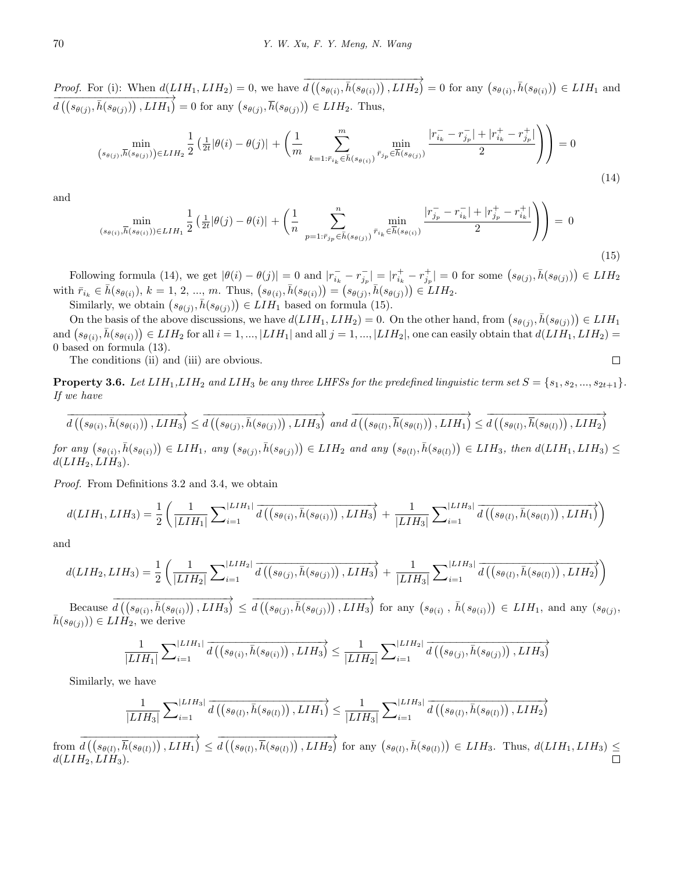*Proof.* For (i): When  $d(LIH_1, LIH_2) = 0$ , we have *−−−−−−−−−−−−−−−−−−−→*  $d\left( (s_{\theta(i)}, \bar{h}(s_{\theta(i)})) \right)$ ,  $LIH_2$ ) = 0 for any  $(s_{\theta(i)}, \bar{h}(s_{\theta(i)})) \in LIH_1$  and *−−−−−−−−−−−−−−−−−−−→*  $d\left(\left(s_{\theta(j)}, \overline{h}(s_{\theta(j)})\right), LIH_1\right) = 0$  for any  $\left(s_{\theta(j)}, \overline{h}(s_{\theta(j)})\right) \in LIH_2$ . Thus,

$$
\min_{(s_{\theta(j)},\overline{h}(s_{\theta(j)})) \in LIH_2} \frac{1}{2} \left( \frac{1}{2t} |\theta(i) - \theta(j)| + \left( \frac{1}{m} \sum_{k=1:\overline{r}_{i_k} \in \overline{h}(s_{\theta(i)})}^m \frac{\min}{r_{j_p} \in \overline{h}(s_{\theta(j)})} \frac{|r_{i_k}^- - r_{j_p}^-| + |r_{i_k}^+ - r_{j_p}^+|}{2} \right) \right) = 0
$$
\n(14)

and

$$
\min_{(s_{\theta(i)},\overline{h}(s_{\theta(i)}))\in LIH_1} \frac{1}{2} \left( \frac{1}{2t} |\theta(j) - \theta(i)| + \left( \frac{1}{n} \sum_{p=1:\overline{r}_{j_p} \in \overline{h}(s_{\theta(j)})}^n \frac{\min}{\overline{r}_{i_k} \in \overline{h}(s_{\theta(i)})} \frac{|r_{j_p}^--r_{i_k}^-| + |r_{j_p}^+-r_{i_k}^+|}{2} \right) \right) = 0
$$
\n(15)

Following formula (14), we get  $|\theta(i) - \theta(j)| = 0$  and  $|r_{i_k} - r_{j_p}^-| = |r_{i_k}^+ - r_{j_p}^+| = 0$  for some  $(s_{\theta(j)}, \bar{h}(s_{\theta(j)})) \in LIH_2$ with  $\bar{r}_{i_k} \in \bar{h}(s_{\theta(i)}), k = 1, 2, ..., m$ . Thus,  $(s_{\theta(i)}, \bar{h}(s_{\theta(i)})) = (s_{\theta(j)}, \bar{h}(s_{\theta(j)})) \in LIH_2$ .

Similarly, we obtain  $(s_{\theta(j)}, \bar{h}(s_{\theta(j)})) \in LIH_1$  based on formula (15).

On the basis of the above discussions, we have  $d(LIH_1, LIH_2) = 0$ . On the other hand, from  $(s_{\theta(j)}, \bar{h}(s_{\theta(j)})) \in LIH_1$ and  $(s_{\theta(i)}, \bar{h}(s_{\theta(i)})) \in LIH_2$  for all  $i = 1, ..., |LIH_1|$  and all  $j = 1, ..., |LIH_2|$ , one can easily obtain that  $d(LIH_1, LIH_2) =$ 0 based on formula (13).  $\Box$ 

The conditions (ii) and (iii) are obvious.

**Property 3.6.** Let  $LIH_1, LIH_2$  and  $LIH_3$  be any three LHFSs for the predefined linguistic term set  $S = \{s_1, s_2, ..., s_{2t+1}\}\$ . *If we have*

$$
\overrightarrow{d\left(\left(s_{\theta(i)},\overline{h}(s_{\theta(i)})\right),LIH_{3}\right)} \leq \overrightarrow{d\left(\left(s_{\theta(j)},\overline{h}(s_{\theta(j)})\right),LIH_{3}\right)} \text{ and } \overrightarrow{d\left(\left(s_{\theta(l)},\overline{h}(s_{\theta(l)})\right),LIH_{1}\right)} \leq \overrightarrow{d\left(\left(s_{\theta(l)},\overline{h}(s_{\theta(l)})\right),LIH_{2}\right)}
$$

for any  $(s_{\theta(i)}, \overline{h}(s_{\theta(i)})) \in LIH_1$ , any  $(s_{\theta(j)}, \overline{h}(s_{\theta(j)})) \in LIH_2$  and any  $(s_{\theta(l)}, \overline{h}(s_{\theta(l)})) \in LIH_3$ , then  $d(LIH_1, LIH_3) \leq$  $d(LIH_2, LIH_3)$ .

*Proof.* From Definitions 3.2 and 3.4, we obtain

$$
d(LIH_1, LIH_3) = \frac{1}{2} \left( \frac{1}{|LIH_1|} \sum_{i=1}^{|LIH_1|} \overline{d\left( \left( s_{\theta(i)}, \overline{h}(s_{\theta(i)}) \right), LIH_3 \right)} + \frac{1}{|LIH_3|} \sum_{i=1}^{|LIH_3|} \overline{d\left( \left( s_{\theta(l)}, \overline{h}(s_{\theta(l)}) \right), LIH_1 \right)} \right)
$$

and

$$
d(LIH_2, LIH_3) = \frac{1}{2} \left( \frac{1}{|LIH_2|} \sum_{i=1}^{|LIH_2|} \overline{d\left( (s_{\theta(j)}, \bar{h}(s_{\theta(j)})) , LIH_3 \right)} + \frac{1}{|LIH_3|} \sum_{i=1}^{|LIH_3|} \overline{d\left( (s_{\theta(l)}, \bar{h}(s_{\theta(l)})) , LIH_2 \right)} \right)
$$

Because *−−−−−−−−−−−−−−−−−−−→*  $d\left(\left(s_{\theta(i)}, \bar{h}(s_{\theta(i)})\right), LIH_3\right) \leq$ *−−−−−−−−−−−−−−−−−−−→*  $d\left(\left(s_{\theta(j)},\bar{h}(s_{\theta(j)})\right),LIH_3\right)$  for any  $\left(s_{\theta(i)},\bar{h}(s_{\theta(i)})\right) \in LIH_1$ , and any  $(s_{\theta(j)},$  $h(s_{\theta(j)}))$  ∈ *LIH*<sub>2</sub>, we derive

$$
\frac{1}{|LIH_1|}\sum_{i=1}^{|LIH_1|}\overrightarrow{d\left(\left(s_{\theta(i)},\overline{h}(s_{\theta(i)})\right),LIH_3\right)} \leq \frac{1}{|LIH_2|}\sum_{i=1}^{|LIH_2|}\overrightarrow{d\left(\left(s_{\theta(j)},\overline{h}(s_{\theta(j)})\right),LIH_3\right)}
$$

Similarly, we have

$$
\frac{1}{|LIH_3|}\sum_{i=1}^{|LIH_3|}\overrightarrow{d\left(\left(s_{\theta(l)},\overline{h}(s_{\theta(l)})\right),LIH_1\right)} \leq \frac{1}{|LIH_3|}\sum_{i=1}^{|LIH_3|}\overrightarrow{d\left(\left(s_{\theta(l)},\overline{h}(s_{\theta(l)})\right),LIH_2\right)}
$$

from *−−−−−−−−−−−−−−−−−−−→*  $d\left(\left(s_{\theta(l)},\overline{h}(s_{\theta(l)})\right),LIH_1\right)\leq$ *−−−−−−−−−−−−−−−−−−−→*  $d\left(\left(s_{\theta(l)}, \overline{h}(s_{\theta(l)})\right), LIH_2\right)$  for any  $\left(s_{\theta(l)}, \overline{h}(s_{\theta(l)})\right) \in LIH_3$ . Thus,  $d(LIH_1, LIH_3) \leq$  $d(LIH_2, LIH_3)$ .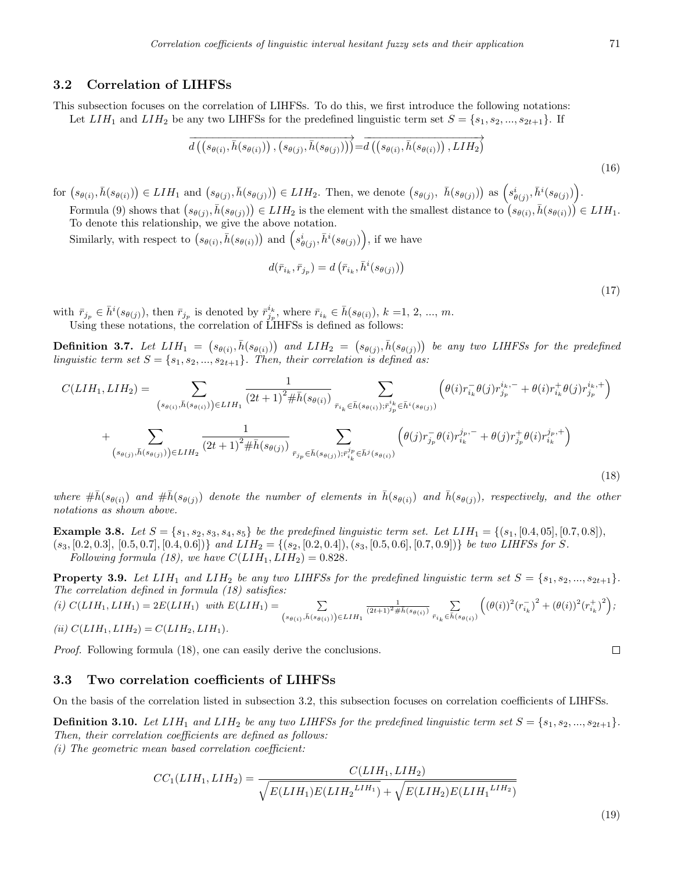### **3.2 Correlation of LIHFSs**

This subsection focuses on the correlation of LIHFSs. To do this, we first introduce the following notations: Let  $LIH_1$  and  $LIH_2$  be any two LIHFSs for the predefined linguistic term set  $S = \{s_1, s_2, ..., s_{2t+1}\}$ . If

$$
\overrightarrow{d\left(\left(s_{\theta(i)},\overline{h}(s_{\theta(i)})\right),\left(s_{\theta(j)},\overline{h}(s_{\theta(j)})\right)\right)} = \overrightarrow{d\left(\left(s_{\theta(i)},\overline{h}(s_{\theta(i)})\right),LIH_2\right)}
$$
\n(16)

for  $(s_{\theta(i)}, \bar{h}(s_{\theta(i)})) \in LIH_1$  and  $(s_{\theta(j)}, \bar{h}(s_{\theta(j)})) \in LIH_2$ . Then, we denote  $(s_{\theta(j)}, \bar{h}(s_{\theta(j)}))$  as  $(s_{\theta(j)}^i, \bar{h}^i(s_{\theta(j)}))$ .

Formula (9) shows that  $(s_{\theta(j)}, \bar{h}(s_{\theta(j)})) \in LIH_2$  is the element with the smallest distance to  $(s_{\theta(i)}, \bar{h}(s_{\theta(i)})) \in LIH_1$ . To denote this relationship, we give the above notation.

Similarly, with respect to  $(s_{\theta(i)}, \bar{h}(s_{\theta(i)}))$  and  $(s_{\theta(j)}^i, \bar{h}^i(s_{\theta(j)}))$ , if we have

$$
d(\bar{r}_{i_k}, \bar{r}_{j_p}) = d(\bar{r}_{i_k}, \bar{h}^i(s_{\theta(j)}))
$$
\n(17)

with  $\bar{r}_{j_p} \in \bar{h}^i(s_{\theta(j)})$ , then  $\bar{r}_{j_p}$  is denoted by  $\bar{r}_{j_p}^{i_k}$ , where  $\bar{r}_{i_k} \in \bar{h}(s_{\theta(i)})$ ,  $k = 1, 2, ..., m$ . Using these notations, the correlation of LIHFSs is defined as follows:

**Definition 3.7.** Let  $LIH_1 = (s_{\theta(i)}, \bar{h}(s_{\theta(i)}))$  and  $LIH_2 = (s_{\theta(j)}, \bar{h}(s_{\theta(j)}))$  be any two LIHFSs for the predefined *linguistic term set*  $S = \{s_1, s_2, ..., s_{2t+1}\}$ *. Then, their correlation is defined as:* 

$$
C(LIH_{1},LIH_{2}) = \sum_{(s_{\theta(i)},\bar{h}(s_{\theta(i)})) \in LIH_{1}} \frac{1}{(2t+1)^{2} \# \bar{h}(s_{\theta(i)})} \sum_{\bar{r}_{i_{k}} \in \bar{h}(s_{\theta(i)}); \bar{r}_{i_{p}}^{i_{k}} \in \bar{h}(s_{\theta(i)})} \left(\theta(i) \bar{r}_{i_{k}}^{-} \theta(j) \bar{r}_{j_{p}}^{i_{k},-} + \theta(i) \bar{r}_{i_{k}}^{+} \theta(j) \bar{r}_{j_{p}}^{i_{k},+}\right) + \sum_{(s_{\theta(j)},\bar{h}(s_{\theta(j)})) \in LIH_{2}} \frac{1}{(2t+1)^{2} \# \bar{h}(s_{\theta(j)})} \sum_{\bar{r}_{j_{p}} \in \bar{h}(s_{\theta(j)}); \bar{r}_{i_{k}}^{j_{p}} \in \bar{h}(s_{\theta(i)})} \left(\theta(j) \bar{r}_{j_{p}}^{-} \theta(i) \bar{r}_{i_{k}}^{j_{p},-} + \theta(j) \bar{r}_{j_{p}}^{+} \theta(i) \bar{r}_{i_{k}}^{j_{p},+}\right)
$$
\n(18)

where  $\#\bar{h}(s_{\theta(i)})$  and  $\#\bar{h}(s_{\theta(j)})$  denote the number of elements in  $\bar{h}(s_{\theta(i)})$  and  $\bar{h}(s_{\theta(j)})$ , respectively, and the other *notations as shown above.*

**Example 3.8.** Let  $S = \{s_1, s_2, s_3, s_4, s_5\}$  be the predefined linguistic term set. Let  $LIH_1 = \{(s_1, [0.4, 0.5], [0.7, 0.8]\},\$  $(s_3, [0.2, 0.3], [0.5, 0.7], [0.4, 0.6])\}$  and  $LIH_2 = \{(s_2, [0.2, 0.4]), (s_3, [0.5, 0.6], [0.7, 0.9])\}$  be two LIHFSs for S. *Following formula (18), we have*  $C(LIH_1, LIH_2) = 0.828$ *.* 

**Property 3.9.** Let  $LIH_1$  and  $LIH_2$  be any two LIHFSs for the predefined linguistic term set  $S = \{s_1, s_2, ..., s_{2t+1}\}$ . *The correlation defined in formula (18) satisfies:*

 $(i)$   $C(LIH_1, LIH_1) = 2E(LIH_1)$  *with*  $E(LIH_1) =$  $(s_{\theta(i)},\bar{h}(s_{\theta(i)}))\in LIH_1$  $\frac{1}{(2t+1)^2 \# \bar{h}(s_{\theta(i)})}$   $\sum_{i=1}^{n}$  $\bar{r}_{i_k} \in \bar{h}(s_{\theta(i)})$  $((\theta(i))^2 (r_{i_k}^-)^2 + (\theta(i))^2 (r_{i_k}^+)^2);$ 

$$
(ii) C(LIH_1, LIH_2) = C(LIH_2, LIH_1).
$$

*Proof.* Following formula  $(18)$ , one can easily derive the conclusions.

#### **3.3 Two correlation coefficients of LIHFSs**

On the basis of the correlation listed in subsection 3.2, this subsection focuses on correlation coefficients of LIHFSs.

**Definition 3.10.** Let  $LIH_1$  and  $LIH_2$  be any two LIHFSs for the predefined linguistic term set  $S = \{s_1, s_2, ..., s_{2t+1}\}$ . *Then, their correlation coefficients are defined as follows:*

*(i) The geometric mean based correlation coefficient:*

$$
CC_1(LIH_1, LIH_2) = \frac{C(LIH_1, LIH_2)}{\sqrt{E(LIH_1)E(LIH_2^{LIH_1})} + \sqrt{E(LIH_2)E(LIH_1^{LIH_2})}}
$$

$$
\qquad \qquad \Box
$$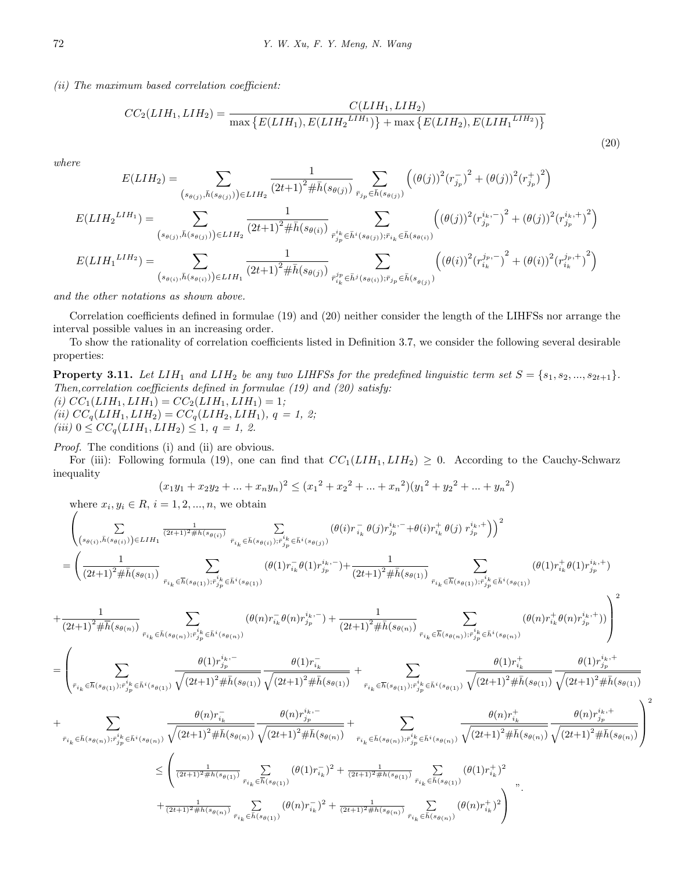*(ii) The maximum based correlation coefficient:*

$$
CC_2(LIH_1, LIH_2) = \frac{C(LIH_1, LIH_2)}{\max\{E(LIH_1), E(LIH_2^{LIH_1})\} + \max\{E(LIH_2), E(LIH_1^{LIH_2})\}}
$$
(20)

*where*

$$
E(LIH_{2}) = \sum_{(s_{\theta(j)},\bar{h}(s_{\theta(j)})) \in LIH_{2}} \frac{1}{(2t+1)^{2} \# \bar{h}(s_{\theta(j)})} \sum_{\bar{r}_{j_{p}} \in \bar{h}(s_{\theta(j)})} \left( (\theta(j))^{2} (r_{j_{p}}^{-})^{2} + (\theta(j))^{2} (r_{j_{p}}^{+})^{2} \right)
$$

$$
E(LIH_{2}^{LIH_{1}}) = \sum_{(s_{\theta(j)},\bar{h}(s_{\theta(j)})) \in LIH_{2}} \frac{1}{(2t+1)^{2} \# \bar{h}(s_{\theta(i)})} \sum_{\bar{r}_{j_{p}}^{i_{k}} \in \bar{h}(s_{\theta(j)}); \bar{r}_{i_{k}} \in \bar{h}(s_{\theta(i)})} \left( (\theta(j))^{2} (r_{j_{p}}^{i_{k},-})^{2} + (\theta(j))^{2} (r_{j_{p}}^{i_{k},+})^{2} \right)
$$

$$
E(LIH_{1}^{LIH_{2}}) = \sum_{(s_{\theta(i)},\bar{h}(s_{\theta(i)})) \in LIH_{1}} \frac{1}{(2t+1)^{2} \# \bar{h}(s_{\theta(j)})} \sum_{\bar{r}_{i_{k}}^{j_{p}} \in \bar{h}(s_{\theta(i)}); \bar{r}_{j_{p}} \in \bar{h}(s_{\theta(j)})} \left( (\theta(i))^{2} (r_{i_{k}}^{j_{p},-})^{2} + (\theta(i))^{2} (r_{i_{k}}^{j_{p},+})^{2} \right)
$$

*and the other notations as shown above.*

Correlation coefficients defined in formulae (19) and (20) neither consider the length of the LIHFSs nor arrange the interval possible values in an increasing order.

To show the rationality of correlation coefficients listed in Definition 3.7, we consider the following several desirable properties:

**Property 3.11.** Let  $LIH_1$  and  $LIH_2$  be any two LIHFSs for the predefined linguistic term set  $S = \{s_1, s_2, ..., s_{2t+1}\}$ . *Then,correlation coefficients defined in formulae (19) and (20) satisfy:*  $(i)$   $CC_1(LIH_1, LIH_1) = CC_2(LIH_1, LIH_1) = 1;$ 

 $(iii)$   $CC_q(LIH_1, LIH_2) = CC_q(LIH_2, LIH_1), q = 1, 2;$  $(iii)$   $0 \leq CC_q(LIH_1, LIH_2) \leq 1, q = 1, 2.$ 

*Proof.* The conditions (i) and (ii) are obvious.

For (iii): Following formula (19), one can find that  $CC_1(LIH_1, LIH_2) \geq 0$ . According to the Cauchy-Schwarz inequality

$$
(x_1y_1 + x_2y_2 + \dots + x_ny_n)^2 \le (x_1^2 + x_2^2 + \dots + x_n^2)(y_1^2 + y_2^2 + \dots + y_n^2)
$$

where *x<sup>i</sup> , y<sub>i</sub>* ∈ *R*, *i* = 1, 2, ..., *n*, we obtain

$$
\begin{split} &\left(\sum_{(s_{\theta(i)},\bar{h}(s_{\theta(i)}))\in LIH_{1}}\frac{1}{(2t+1)^{2}\#\bar{h}(s_{\theta(i)})}\sum_{\bar{r}_{i_{k}}\in\bar{h}(s_{\theta(i)});\bar{r}_{j_{p}}^{i_{k}}\in\bar{h}(s_{\theta(i)})}(\theta(i)r_{i_{k}}^{-}\theta(j)r_{j_{p}}^{i_{k},-}+\theta(i)r_{i_{k}}^{+}\theta(j)r_{j_{p}}^{i_{k},+})\right)^{2} \\ =&\left(\frac{1}{(2t+1)^{2}\#\bar{h}(s_{\theta(1)})}\sum_{\bar{r}_{i_{k}}\in\bar{h}(s_{\theta(1)});\bar{r}_{j_{p}}^{i_{k}}\in\bar{h}(s_{\theta(1)})}(\theta(1)r_{i_{k}}^{-}\theta(1)r_{j_{p}}^{i_{k},-})+\frac{1}{(2t+1)^{2}\#\bar{h}(s_{\theta(1)})}\sum_{\bar{r}_{i_{k}}\in\bar{h}(s_{\theta(1)});\bar{r}_{j_{p}}^{i_{k}}\in\bar{h}(s_{\theta(1)})}(\theta(1)r_{i_{k}}^{+}\theta(1)r_{j_{p}}^{i_{k},+})\right)^{2} \end{split}
$$

$$
\left. + \frac{1}{(2t+1)^{2} \# \bar{h}(s_{\theta(n)})} \sum_{\bar{r}_{i_{k}} \in \bar{h}(s_{\theta(n)}) ; \bar{r}_{j_{p}}^{i_{k}} \in \bar{h}(s_{\theta(n)})} (\theta(n) r_{i_{k}}^{-} \theta(n) r_{j_{p}}^{i_{k}, -}) + \frac{1}{(2t+1)^{2} \# \bar{h}(s_{\theta(n)})} \sum_{\bar{r}_{i_{k}} \in \bar{h}(s_{\theta(n)}) ; \bar{r}_{j_{p}}^{i_{k}} \in \bar{h}(s_{\theta(n)})} (\theta(n) r_{i_{k}}^{+} \theta(n) r_{j_{p}}^{i_{k}, +})) \right)
$$

$$
= \left( \sum_{\bar{r}_{i_k} \in \overline{h}(s_{\theta(1)}); \bar{r}_{j_p}^{i_k} \in \bar{h}^{i}(s_{\theta(1)})} \frac{\theta(1) r_{j_p}^{i_k,-}}{\sqrt{(2t+1)^2 \# \bar{h}(s_{\theta(1)})}} \frac{\theta(1) r_{i_k}^{-}}{\sqrt{(2t+1)^2 \# \bar{h}(s_{\theta(1)})}} + \sum_{\bar{r}_{i_k} \in \overline{h}(s_{\theta(1)}); \bar{r}_{j_p}^{i_k} \in \bar{h}^{i}(s_{\theta(1)})} \frac{\theta(1) r_{i_k}^{+}}{\sqrt{(2t+1)^2 \# \bar{h}(s_{\theta(1)})}} \frac{\theta(1) r_{j_p}^{i_k,+}}{\sqrt{(2t+1)^2 \# \bar{h}(s_{\theta(1)})}} \frac{\theta(1) r_{j_p}^{-i_k,-}}{\sqrt{(2t+1)^2 \# \bar{h}(s_{\theta(1)})}} \frac{\theta(1) r_{j_p}^{-i_k,-}}{\sqrt{(2t+1)^2 \# \bar{h}(s_{\theta(1)})}} \frac{\theta(1) r_{j_p}^{-i_k,-}}{\sqrt{(2t+1)^2 \# \bar{h}(s_{\theta(1)})}} \frac{\theta(1) r_{j_p}^{-i_k,-}}{\sqrt{(2t+1)^2 \# \bar{h}(s_{\theta(1)})}} \frac{\theta(1) r_{j_p}^{-i_k,-}}{\sqrt{(2t+1)^2 \# \bar{h}(s_{\theta(1)})}} \frac{\theta(1) r_{j_p}^{-i_k,-}}{\sqrt{(2t+1)^2 \# \bar{h}(s_{\theta(1)})}} \frac{\theta(1) r_{j_p}^{-i_k,-}}{\sqrt{(2t+1)^2 \# \bar{h}(s_{\theta(1)})}} \frac{\theta(1) r_{j_p}^{-i_k,-}}{\sqrt{(2t+1)^2 \# \bar{h}(s_{\theta(1)})}} \frac{\theta(1) r_{j_p}^{-i_k,-}}{\sqrt{(2t+1)^2 \# \bar{h}(s_{\theta(1)})}} \frac{\theta(1) r_{j_p}^{-i_k,-}}{\sqrt{(2t+1)^2 \# \bar{h}(s_{\theta(1)})}} \frac{\theta(1) r_{j_p}^{-i_k,-}}{\sqrt{(2t+1)^2 \# \bar{h}(s_{\theta(1)})}} \frac{\theta(1) r_{j_p}^{-i_k,-}}{\sqrt{(2t+1)^2 \# \bar
$$

$$
+ \sum_{\bar{r}_{i_k} \in \bar{h}(s_{\theta(n)}) : \bar{r}_{j_p}^{i_k} \in \bar{h}(s_{\theta(n)})} \frac{\theta(n) \bar{r}_{i_k}^{-}}{\sqrt{(2t+1)^2 \# \bar{h}(s_{\theta(n)})}} \frac{\theta(n) \bar{r}_{j_p}^{i_k,-}}{\sqrt{(2t+1)^2 \# \bar{h}(s_{\theta(n)})}} + \sum_{\bar{r}_{i_k} \in \bar{h}(s_{\theta(n)}) : \bar{r}_{j_p}^{i_k} \in \bar{h}(s_{\theta(n)})} \frac{\theta(n) \bar{r}_{i_k}^{+}}{\sqrt{(2t+1)^2 \# \bar{h}(s_{\theta(n)})}} \frac{\theta(n) \bar{r}_{i_k}^{i_k,+}}{\sqrt{(2t+1)^2 \# \bar{h}(s_{\theta(n)})}} \right)^2
$$
  

$$
\leq \left( \frac{1}{(2t+1)^2 \# \bar{h}(s_{\theta(1)})} \sum_{\bar{r}_{i_k} \in \bar{h}(s_{\theta(1)})} (\theta(1) \bar{r}_{i_k}^{-})^2 + \frac{1}{(2t+1)^2 \# \bar{h}(s_{\theta(1)})} \sum_{\bar{r}_{i_k} \in \bar{h}(s_{\theta(1)})} (\theta(1) \bar{r}_{i_k}^{+})^2
$$
  

$$
+ \frac{1}{(2t+1)^2 \# \bar{h}(s_{\theta(n)})} \sum_{\bar{r}_{i_k} \in \bar{h}(s_{\theta(1)})} (\theta(n) \bar{r}_{i_k}^{-})^2 + \frac{1}{(2t+1)^2 \# \bar{h}(s_{\theta(n)})} \sum_{\bar{r}_{i_k} \in \bar{h}(s_{\theta(n)})} (\theta(n) \bar{r}_{i_k}^{+})^2 \right)^{n}.
$$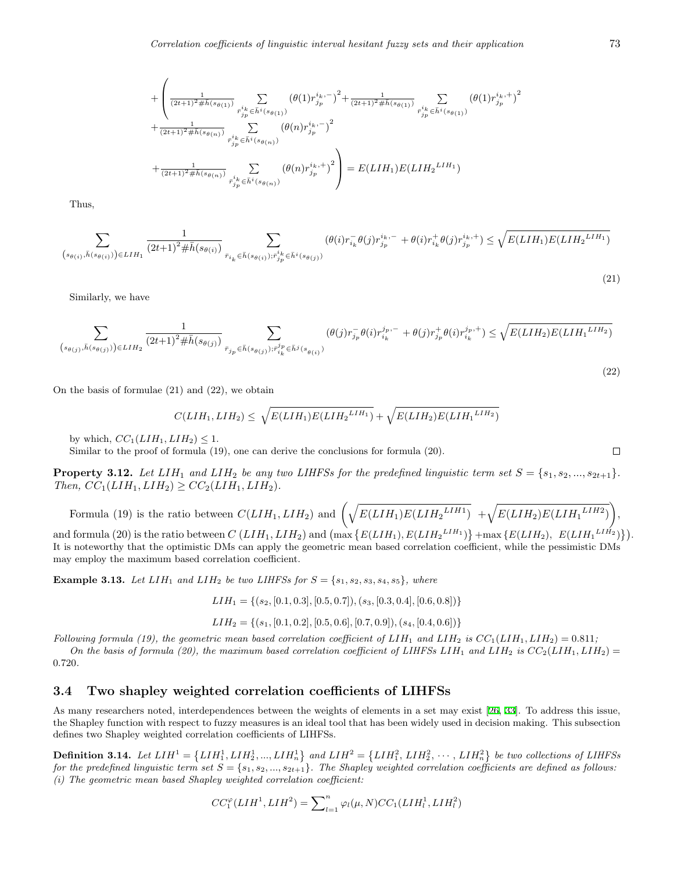$$
+\left(\frac{1}{(2t+1)^2\#\tilde{h}(s_{\theta(1)})}\sum_{\substack{r_{jp}^i \in \tilde{h}^i(s_{\theta(1)})\\r_{jp}^i \in \tilde{h}^i(s_{\theta(1)})}}\frac{\left(\theta(1)r_{jp}^{i_k,-}\right)^2 + \frac{1}{(2t+1)^2\#\tilde{h}(s_{\theta(1)})}\sum_{\substack{r_{jp}^i \in \tilde{h}^i(s_{\theta(1)})\\r_{jp}^i \in \tilde{h}^i(s_{\theta(1)})}}\frac{\left(\theta(1)r_{jp}^{i_k,-}\right)^2}{\sum_{\substack{r_{jp}^i \in \tilde{h}^i(s_{\theta(n)})\\r_{jp}^i \in \tilde{h}^i(s_{\theta(n)})}}\frac{\left(\theta(n)r_{jp}^{i_k,-}\right)^2}{\left(\theta(n)r_{jp}^{i_k,+}\right)^2}\right)} = E(LIH_1)E(LIH_2^{LIH_1})
$$

Thus,

$$
\sum_{\left(s_{\theta(i)},\bar{h}(s_{\theta(i)})\right) \in LIH_{1}} \frac{1}{(2t+1)^{2}\#\bar{h}(s_{\theta(i)})} \sum_{\bar{r}_{i_{k}} \in \bar{h}(s_{\theta(i)}); \bar{r}_{j_{p}}^{i_{k}} \in \bar{h}^{i}(s_{\theta(j)})} (\theta(i) r_{i_{k}}^{-} \theta(j) r_{j_{p}}^{i_{k},-} + \theta(i) r_{i_{k}}^{+} \theta(j) r_{j_{p}}^{i_{k},+}) \leq \sqrt{E(LIH_{1})E(LIH_{2}^{\ LIH_{1}})}
$$

Similarly, we have

$$
\sum_{\left(s_{\theta(j)},\bar{h}(s_{\theta(j)})\right) \in LIH_{2}} \frac{1}{(2t+1)^{2}\#\bar{h}(s_{\theta(j)})} \sum_{\bar{r}_{j_{p}} \in \bar{h}(s_{\theta(j)}) ; \bar{r}_{i_{k}}^{j_{p}} \in \bar{h}^{j}(s_{\theta(i)})} (\theta(j) r_{j_{p}}^{-} \theta(i) r_{i_{k}}^{j_{p},-} + \theta(j) r_{j_{p}}^{+} \theta(i) r_{i_{k}}^{j_{p},+}) \leq \sqrt{E(LIH_{2})E(LIH_{1}^{LIH_{2}})}
$$

On the basis of formulae (21) and (22), we obtain

$$
C(LIH_1, LIH_2) \leq \sqrt{E(LIH_1)E(LIH_2^{LIH_1})} + \sqrt{E(LIH_2)E(LIH_1^{LIH_2})}
$$

by which,  $CC_1(LIH_1, LIH_2) \leq 1$ .

Similar to the proof of formula (19), one can derive the conclusions for formula (20).

**Property 3.12.** Let  $LIH_1$  and  $LIH_2$  be any two LIHFSs for the predefined linguistic term set  $S = \{s_1, s_2, ..., s_{2t+1}\}$ .  $Then, CC_1(LIH_1, LIH_2) \geq CC_2(LIH_1, LIH_2)$ .

Formula (19) is the ratio between 
$$
C(LIH_1, LIH_2)
$$
 and  $\left(\sqrt{E(LIH_1)E(LIH_2^{LIH_1})} + \sqrt{E(LIH_2)E(LIH_1^{LIH_2})}\right)$ ,

and formula (20) is the ratio between  $C(LIH_1, LIH_2)$  and  $\left(\max\{E(LIH_1), E(LIH_2^{LIH_1})\}\right) + \max\{E(LIH_2), E(LIH_1^{LIH_2})\}\right)$ . It is noteworthy that the optimistic DMs can apply the geometric mean based correlation coefficient, while the pessimistic DMs may employ the maximum based correlation coefficient.

**Example 3.13.** *Let*  $LIH_1$  *and*  $LIH_2$  *be two LIHFSs for*  $S = \{s_1, s_2, s_3, s_4, s_5\}$ *, where* 

$$
LIH_1 = \{(s_2, [0.1, 0.3], [0.5, 0.7]), (s_3, [0.3, 0.4], [0.6, 0.8])\}
$$

*LIH*<sup>2</sup> = *{*(*s*1*,* [0*.*1*,* 0*.*2]*,* [0*.*5*,* 0*.*6]*,* [0*.*7*,* 0*.*9])*,*(*s*4*,* [0*.*4*,* 0*.*6])*}*

*Following formula (19), the geometric mean based correlation coefficient of*  $LIH_1$  and  $LIH_2$  is  $CC_1(LIH_1, LIH_2) = 0.811$ ; *On the basis of formula (20), the maximum based correlation coefficient of LIHFSs*  $L$ IH<sub>1</sub> and  $L$ IH<sub>2</sub> is  $CC_2(L)H_1, L$ IH<sub>2</sub>) = 0*.*720*.*

#### **3.4 Two shapley weighted correlation coefficients of LIHFSs**

As many researchers noted, interdependences between the weights of elements in a set may exist [[26](#page-15-22), [33](#page-15-25)]. To address this issue, the Shapley function with respect to fuzzy measures is an ideal tool that has been widely used in decision making. This subsection defines two Shapley weighted correlation coefficients of LIHFSs.

**Definition 3.14.** Let  $LIH^1 = \{LIH_1^1, LIH_2^1, ..., LIH_n^1\}$  and  $LIH^2 = \{LIH_1^2, LIH_2^2, ..., LIH_n^2\}$  be two collections of LIHFSs *for the predefined linguistic term set*  $S = \{s_1, s_2, ..., s_{2t+1}\}$ *. The Shapley weighted correlation coefficients are defined as follows: (i) The geometric mean based Shapley weighted correlation coefficient:*

$$
CC_1^{\varphi}(LIH^1, LIH^2) = \sum_{l=1}^n \varphi_l(\mu, N) CC_1(LIH_l^1, LIH_l^2)
$$

 $\Box$ 

(21)

(22)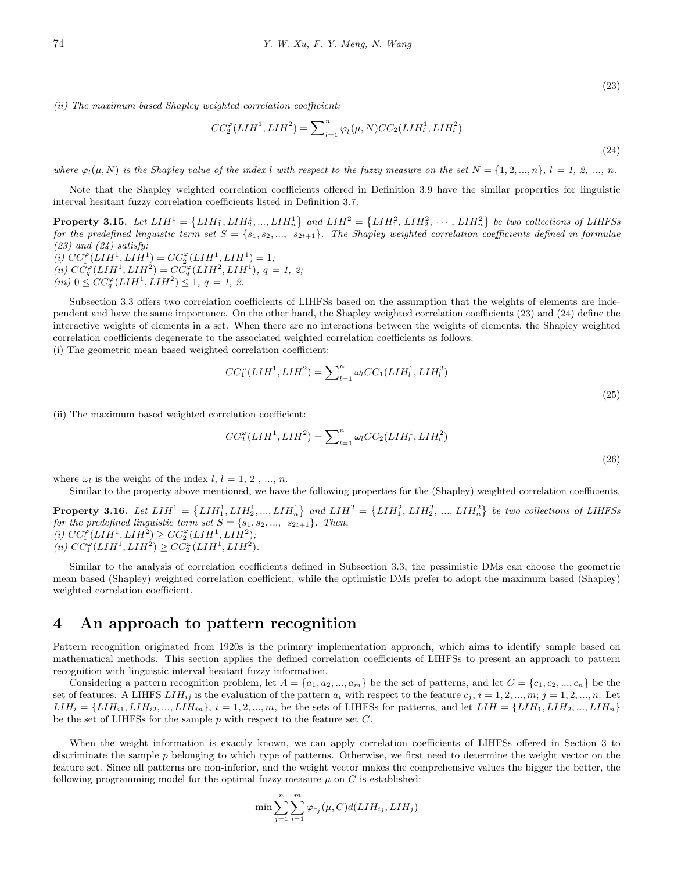*(ii) The maximum based Shapley weighted correlation coefficient:*

$$
CC_2^{\varphi}(LIH^1, LIH^2) = \sum_{l=1}^{n} \varphi_l(\mu, N) CC_2(LIH_l^1, LIH_l^2)
$$
\n(24)

where  $\varphi_l(\mu, N)$  is the Shapley value of the index l with respect to the fuzzy measure on the set  $N = \{1, 2, ..., n\}$ ,  $l = 1, 2, ..., n$ .

Note that the Shapley weighted correlation coefficients offered in Definition 3.9 have the similar properties for linguistic interval hesitant fuzzy correlation coefficients listed in Definition 3.7.

**Property 3.15.** Let  $LIH^1 = \{LIH_1^1, LIH_2^1, ..., LIH_n^1\}$  and  $LIH^2 = \{LIH_1^2, LIH_2^2, \cdots, LIH_n^2\}$  be two collections of LIHFSs *for the predefined linguistic term set*  $S = \{s_1, s_2, ..., s_{2t+1}\}$ *. The Shapley weighted correlation coefficients defined in formulae (23) and (24) satisfy:*  $(C_1^{\varphi}(LIH^1, LIH^1) = CC_2^{\varphi}(LIH^1, LIH^1) = 1;$ 

 $(iii)$   $CC_q^{\varphi}(LIH^1, LIH^2) = CC_q^{\varphi}(LIH^2, LIH^1),$   $q = 1, 2;$  $(iii)$   $0 \leq CC_q^{\varphi}(LIH^1, LIH^2) \leq 1, q = 1, 2.$ 

Subsection 3.3 offers two correlation coefficients of LIHFSs based on the assumption that the weights of elements are independent and have the same importance. On the other hand, the Shapley weighted correlation coefficients (23) and (24) define the interactive weights of elements in a set. When there are no interactions between the weights of elements, the Shapley weighted correlation coefficients degenerate to the associated weighted correlation coefficients as follows:

(i) The geometric mean based weighted correlation coefficient:

$$
CC_1^{\omega}(LIH^1, LIH^2) = \sum_{l=1}^{n} \omega_l CC_1(LIH_l^1, LIH_l^2)
$$
\n(25)

(ii) The maximum based weighted correlation coefficient:

$$
CC_2^{\omega}(LIH^1, LIH^2) = \sum_{l=1}^{n} \omega_l CC_2(LIH_l^1, LIH_l^2)
$$
\n(26)

where  $\omega_l$  is the weight of the index  $l, l = 1, 2, ..., n$ .

Similar to the property above mentioned, we have the following properties for the (Shapley) weighted correlation coefficients.

**Property 3.16.** Let  $LIH^1 = \{LIH_1^1, LIH_2^1, ..., LIH_n^1\}$  and  $LIH^2 = \{LIH_1^2, LIH_2^2, ..., LIH_n^2\}$  be two collections of LIHFSs *for the predefined linguistic term set*  $S = \{s_1, s_2, ..., s_{2t+1}\}$ *. Then,*  $(C_1^{\varphi}(LIH^1, LIH^2) \geq CC_2^{\varphi}(LIH^1, LIH^2);$  $(iii) CC_1^{\omega}(LIH^1, LIH^2) \ge CC_2^{\omega}(LIH^1, LIH^2)$ *.* 

Similar to the analysis of correlation coefficients defined in Subsection 3.3, the pessimistic DMs can choose the geometric mean based (Shapley) weighted correlation coefficient, while the optimistic DMs prefer to adopt the maximum based (Shapley) weighted correlation coefficient.

### **4 An approach to pattern recognition**

Pattern recognition originated from 1920s is the primary implementation approach, which aims to identify sample based on mathematical methods. This section applies the defined correlation coefficients of LIHFSs to present an approach to pattern recognition with linguistic interval hesitant fuzzy information.

Considering a pattern recognition problem, let  $A = \{a_1, a_2, ..., a_m\}$  be the set of patterns, and let  $C = \{c_1, c_2, ..., c_n\}$  be the set of features. A LIHFS  $LIH_{ij}$  is the evaluation of the pattern  $a_i$  with respect to the feature  $c_j$ ,  $i = 1, 2, ..., m; j = 1, 2, ..., n$ . Let  $LIH_i = \{LIH_{i1}, LIH_{i2}, ..., LIH_{in}\}\$ ,  $i = 1, 2, ..., m$ , be the sets of LIHFSs for patterns, and let  $LIH = \{LIH_1, LIH_2, ..., LIH_n\}$ be the set of LIHFSs for the sample *p* with respect to the feature set *C*.

When the weight information is exactly known, we can apply correlation coefficients of LIHFSs offered in Section 3 to discriminate the sample *p* belonging to which type of patterns. Otherwise, we first need to determine the weight vector on the feature set. Since all patterns are non-inferior, and the weight vector makes the comprehensive values the bigger the better, the following programming model for the optimal fuzzy measure  $\mu$  on  $C$  is established:

$$
\min \sum_{j=1}^{n} \sum_{i=1}^{m} \varphi_{c_j}(\mu, C) d(LIH_{ij}, LIH_j)
$$

(23)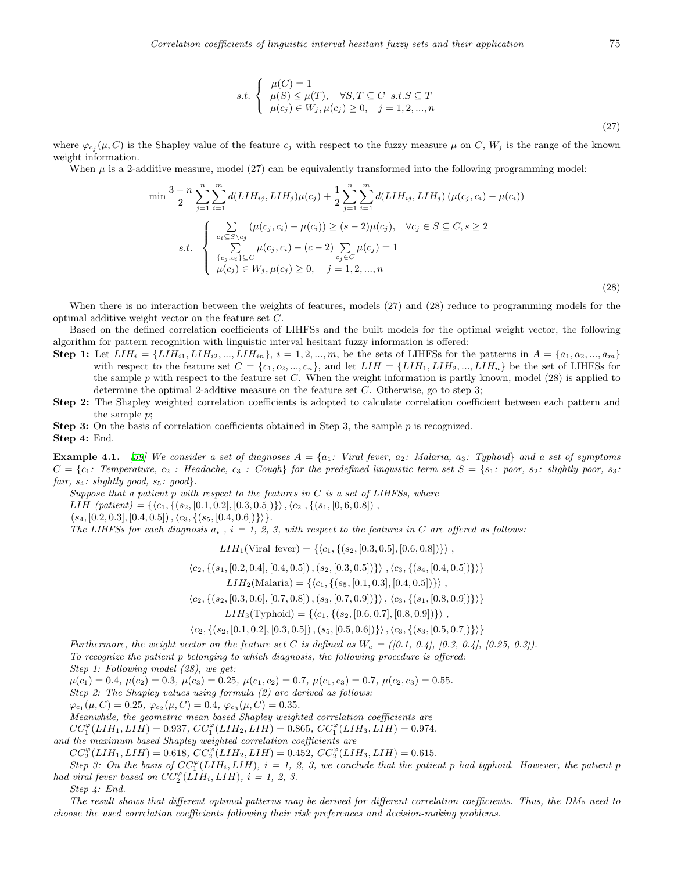$$
s.t. \begin{cases} \mu(C) = 1 \\ \mu(S) \leq \mu(T), \quad \forall S, T \subseteq C \quad s.t. S \subseteq T \\ \mu(c_j) \in W_j, \mu(c_j) \geq 0, \quad j = 1, 2, ..., n \end{cases}
$$

where  $\varphi_{c_j}(\mu, C)$  is the Shapley value of the feature  $c_j$  with respect to the fuzzy measure  $\mu$  on  $C, W_j$  is the range of the known weight information.

When  $\mu$  is a 2-additive measure, model (27) can be equivalently transformed into the following programming model:

$$
\min \frac{3-n}{2} \sum_{j=1}^{n} \sum_{i=1}^{m} d(LIH_{ij}, LIH_{j}) \mu(c_{j}) + \frac{1}{2} \sum_{j=1}^{n} \sum_{i=1}^{m} d(LIH_{ij}, LIH_{j}) (\mu(c_{j}, c_{i}) - \mu(c_{i}))
$$
  

$$
s.t. \begin{cases} \sum_{c_{i} \subseteq S \setminus c_{j}} (\mu(c_{j}, c_{i}) - \mu(c_{i})) \ge (s-2)\mu(c_{j}), & \forall c_{j} \in S \subseteq C, s \ge 2\\ \sum_{c_{j}, c_{i}} \sum_{j \in C} \mu(c_{j}, c_{i}) - (c-2) \sum_{c_{j} \in C} \mu(c_{j}) = 1\\ \mu(c_{j}) \in W_{j}, \mu(c_{j}) \ge 0, & j = 1, 2, ..., n \end{cases}
$$

(28)

When there is no interaction between the weights of features, models (27) and (28) reduce to programming models for the optimal additive weight vector on the feature set *C*.

Based on the defined correlation coefficients of LIHFSs and the built models for the optimal weight vector, the following algorithm for pattern recognition with linguistic interval hesitant fuzzy information is offered:

- **Step 1:** Let  $LIH_i = \{LIH_{i1}, LIH_{i2}, ..., LIH_{in}\}, i = 1, 2, ..., m$ , be the sets of LIHFSs for the patterns in  $A = \{a_1, a_2, ..., a_m\}$ with respect to the feature set  $C = \{c_1, c_2, ..., c_n\}$ , and let  $LHH = \{LHH_1, LHH_2, ..., LHH_n\}$  be the set of LIHFSs for the sample *p* with respect to the feature set *C*. When the weight information is partly known, model (28) is applied to determine the optimal 2-addtive measure on the feature set *C*. Otherwise, go to step 3;
- **Step 2:** The Shapley weighted correlation coefficients is adopted to calculate correlation coefficient between each pattern and the sample *p*;

**Step 3:** On the basis of correlation coefficients obtained in Step 3, the sample *p* is recognized. **Step 4:** End.

**Example 4.1.** [[59](#page-16-21)] We consider a set of diagnoses  $A = \{a_1 : \text{Viral fever}, a_2 : \text{Malaria}, a_3 : \text{Typloid}\}\$ and a set of symptoms *C* = *{c*1*: Temperature, c*<sup>2</sup> *: Headache, c*<sup>3</sup> *: Cough} for the predefined linguistic term set S* = *{s*1*: poor, s*2*: slightly poor, s*3*: fair, s*4*: slightly good, s*5*: good}.*

*Suppose that a patient p with respect to the features in C is a set of LIHFSs, where*

LIH  $(\text{patient}) = \{ \langle c_1, \{ (s_2, [0.1, 0.2], [0.3, 0.5]) \} \rangle, \langle c_2, \{ (s_1, [0, 6, 0.8]) \} \rangle$ 

(*s*4*,* [0*.*2*,* 0*.*3]*,* [0*.*4*,* 0*.*5])*,⟨c*3*, {*(*s*5*,* [0*.*4*,* 0*.*6])*}⟩}.*

*The LIHFSs for each diagnosis*  $a_i$ ,  $i = 1, 2, 3$ , with respect to the features in C are offered as follows:

 $LIH_1$ (Viral fever) = { $\langle c_1, \{ (s_2, [0.3, 0.5], [0.6, 0.8]) \} \rangle$ ,

 $\langle c_2, \{(s_1, [0.2, 0.4], [0.4, 0.5]), (s_2, [0.3, 0.5])\}\rangle, \langle c_3, \{(s_4, [0.4, 0.5])\}\rangle$ 

$$
LIH_2(\text{Malaria}) = \{ \langle c_1, \{ (s_5, [0.1, 0.3], [0.4, 0.5]) \} \rangle ,
$$

 $\langle c_2, \{(s_2, [0.3, 0.6], [0.7, 0.8]), (s_3, [0.7, 0.9])\}\rangle, \langle c_3, \{(s_1, [0.8, 0.9])\}\rangle$ 

 $LIH_3(\text{Typloid}) = \{\langle c_1, \{ (s_2, [0.6, 0.7], [0.8, 0.9]) \} \rangle$ 

 $\langle c_2, \{(s_2, [0.1, 0.2], [0.3, 0.5]), (s_5, [0.5, 0.6])\}\rangle, \langle c_3, \{(s_3, [0.5, 0.7])\}\rangle$ 

*Furthermore, the weight vector on the feature set C is defined as*  $W_c = (0.1, 0.4, 0.3, 0.4, 0.25, 0.3)$ .

*To recognize the patient p belonging to which diagnosis, the following procedure is offered:*

*Step 1: Following model (28), we get:*

 $\mu(c_1) = 0.4, \ \mu(c_2) = 0.3, \ \mu(c_3) = 0.25, \ \mu(c_1, c_2) = 0.7, \ \mu(c_1, c_3) = 0.7, \ \mu(c_2, c_3) = 0.55.$ 

*Step 2: The Shapley values using formula (2) are derived as follows:*

 $\varphi_{c_1}(\mu, C) = 0.25, \ \varphi_{c_2}(\mu, C) = 0.4, \ \varphi_{c_3}(\mu, C) = 0.35.$ 

*Meanwhile, the geometric mean based Shapley weighted correlation coefficients are*

 $CC^{\varphi}_{1}(LIH_{1}, LIH) = 0.937, CC^{\varphi}_{1}(LIH_{2}, LIH) = 0.865, CC^{\varphi}_{1}(LIH_{3}, LIH) = 0.974.$ 

*and the maximum based Shapley weighted correlation coefficients are*

 $CC^{\varphi}_{2}(LIH_{1}, LIH) = 0.618$ ,  $CC^{\varphi}_{2}(LIH_{2}, LIH) = 0.452$ ,  $CC^{\varphi}_{2}(LIH_{3}, LIH) = 0.615$ .

*Step 3:* On the basis of  $CC_1^{\varphi}$  (*LIH*<sub>*i*</sub>, *LIH*)*,*  $i = 1, 2, 3$ *, we conclude that the patient p had typhoid. However, the patient p had viral fever based on*  $CC_2^{\varphi}(LIH_i, LIH)$ ,  $i = 1, 2, 3$ .

*Step 4: End.*

*The result shows that different optimal patterns may be derived for different correlation coefficients. Thus, the DMs need to choose the used correlation coefficients following their risk preferences and decision-making problems.*

(27)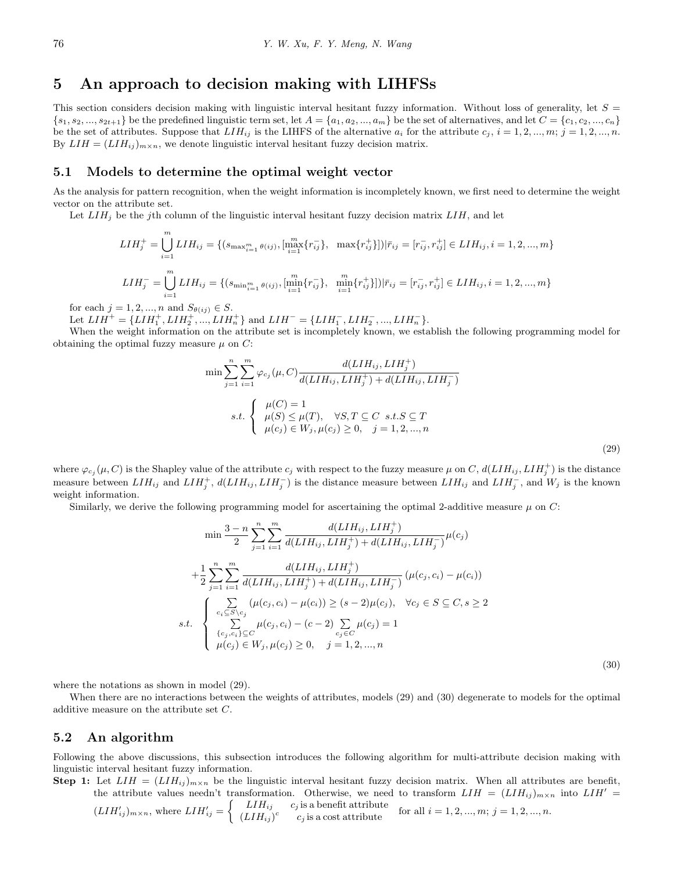# **5 An approach to decision making with LIHFSs**

This section considers decision making with linguistic interval hesitant fuzzy information. Without loss of generality, let  $S =$  $\{s_1, s_2, ..., s_{2t+1}\}\$ be the predefined linguistic term set, let  $A = \{a_1, a_2, ..., a_m\}$  be the set of alternatives, and let  $C = \{c_1, c_2, ..., c_n\}$ be the set of attributes. Suppose that  $LIH_{ij}$  is the LIHFS of the alternative  $a_i$  for the attribute  $c_j$ ,  $i = 1, 2, ..., m$ ;  $j = 1, 2, ..., n$ . By  $LIH = (LIH_{ij})_{m \times n}$ , we denote linguistic interval hesitant fuzzy decision matrix.

#### **5.1 Models to determine the optimal weight vector**

As the analysis for pattern recognition, when the weight information is incompletely known, we first need to determine the weight vector on the attribute set.

Let *LIH<sup>j</sup>* be the *j*th column of the linguistic interval hesitant fuzzy decision matrix *LIH*, and let

$$
LIH_{j}^{+} = \bigcup_{i=1}^{m} LIH_{ij} = \{ (s_{\max_{i=1}^{m} \theta(ij)}, [{}_{i=1}^{m} \{r_{ij}^{-}\}, \max\{r_{ij}^{+}\}]) | \bar{r}_{ij} = [r_{ij}^{-}, r_{ij}^{+}] \in LIH_{ij}, i = 1, 2, ..., m \}
$$
  

$$
LIH_{j}^{-} = \bigcup_{i=1}^{m} LIH_{ij} = \{ (s_{\min_{i=1}^{m} \theta(ij)}, [{}_{i=1}^{m} \{r_{ij}^{-}\}, \min_{i=1}^{m} \{r_{ij}^{+}\}]) | \bar{r}_{ij} = [r_{ij}^{-}, r_{ij}^{+}] \in LIH_{ij}, i = 1, 2, ..., m \}
$$

for each  $j = 1, 2, ..., n$  and  $S_{\theta(ij)} \in S$ .

Let  $LIH^{+} = \{LIH_{1}^{+}, LIH_{2}^{+}, ..., LIH_{n}^{+}\}\$  and  $LIH^{-} = \{LIH_{1}^{-}, LIH_{2}^{-}, ..., LIH_{n}^{-}\}.$ 

When the weight information on the attribute set is incompletely known, we establish the following programming model for obtaining the optimal fuzzy measure  $\mu$  on  $C$ :

$$
\min \sum_{j=1}^{n} \sum_{i=1}^{m} \varphi_{c_j}(\mu, C) \frac{d(LIH_{ij}, LIH_j^+)}{d(LIH_{ij}, LIH_j^+) + d(LIH_{ij}, LIH_j^-)}
$$
  
s.t. 
$$
\begin{cases} \mu(C) = 1\\ \mu(S) \le \mu(T), & \forall S, T \subseteq C \text{ s.t.} S \subseteq T\\ \mu(c_j) \in W_j, \mu(c_j) \ge 0, & j = 1, 2, ..., n \end{cases}
$$
(29)

where  $\varphi_{c_j}(\mu, C)$  is the Shapley value of the attribute  $c_j$  with respect to the fuzzy measure  $\mu$  on  $C$ ,  $d(LIH_{ij}, LIH_j^+)$  is the distance measure between  $LIH_{ij}$  and  $LIH_j^+$ ,  $d(LIH_{ij}, LIH_j^-)$  is the distance measure between  $LIH_{ij}$  and  $LIH_j^-$ , and  $W_j$  is the known weight information.

Similarly, we derive the following programming model for ascertaining the optimal 2-additive measure  $\mu$  on  $C$ :

$$
\min \frac{3-n}{2} \sum_{j=1}^{n} \sum_{i=1}^{m} \frac{d(LIH_{ij}, LIH_{j}^{+})}{d(LIH_{ij}, LIH_{j}^{+}) + d(LIH_{ij}, LIH_{j}^{-})} \mu(c_{j})
$$
  
+
$$
\frac{1}{2} \sum_{j=1}^{n} \sum_{i=1}^{m} \frac{d(LIH_{ij}, LIH_{j}^{+})}{d(LIH_{ij}, LIH_{j}^{+}) + d(LIH_{ij}, LIH_{j}^{-})} (\mu(c_{j}, c_{i}) - \mu(c_{i}))
$$
  
s.t. 
$$
\begin{cases}\n\sum_{c_{i} \subseteq S \backslash c_{j}} (\mu(c_{j}, c_{i}) - \mu(c_{i})) \geq (s - 2)\mu(c_{j}), & \forall c_{j} \in S \subseteq C, s \geq 2 \\
\sum_{c_{j} \in C} \mu(c_{j}, c_{i}) - (c - 2) \sum_{c_{j} \in C} \mu(c_{j}) = 1 \\
\mu(c_{j}) \in W_{j}, \mu(c_{j}) \geq 0, & j = 1, 2, ..., n\n\end{cases}
$$
\n(30)

where the notations as shown in model (29).

When there are no interactions between the weights of attributes, models (29) and (30) degenerate to models for the optimal additive measure on the attribute set *C*.

#### **5.2 An algorithm**

Following the above discussions, this subsection introduces the following algorithm for multi-attribute decision making with linguistic interval hesitant fuzzy information.

**Step 1:** Let  $LIH = (LIH_{ij})_{m \times n}$  be the linguistic interval hesitant fuzzy decision matrix. When all attributes are benefit, the attribute values needn't transformation. Otherwise, we need to transform  $LIH = (LIH_{ij})_{m \times n}$  into  $LIH' =$ 

$$
(LIH'_{ij})_{m \times n}
$$
, where  $LIH'_{ij} = \begin{cases} LIH_{ij} & c_j \text{ is a benefit attribute} \\ (LIH_{ij})^c & c_j \text{ is a cost attribute} \end{cases}$  for all  $i = 1, 2, ..., m; j = 1, 2, ..., n$ .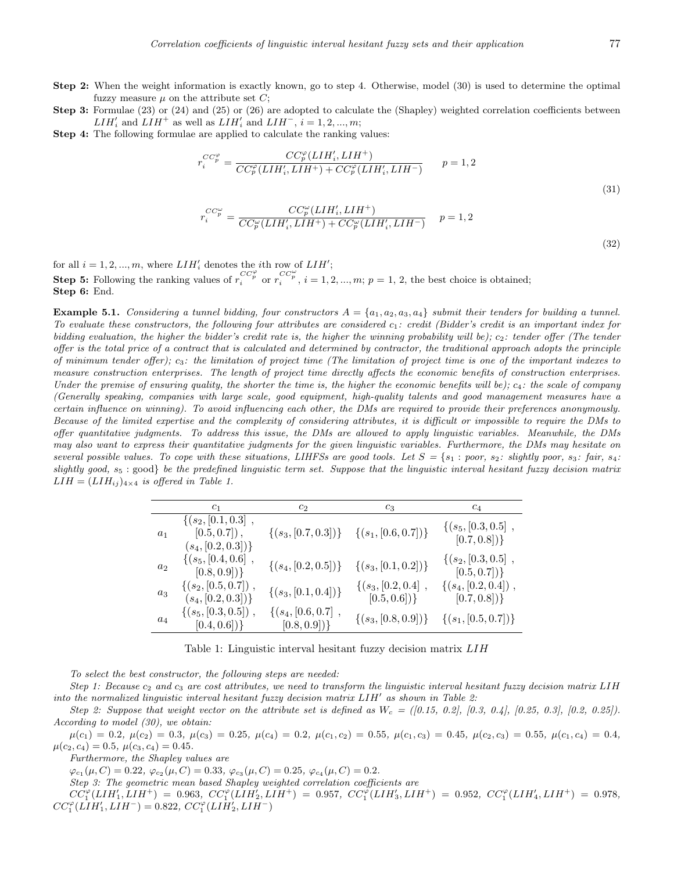- **Step 2:** When the weight information is exactly known, go to step 4. Otherwise, model (30) is used to determine the optimal fuzzy measure  $\mu$  on the attribute set  $C$ ;
- **Step 3:** Formulae (23) or (24) and (25) or (26) are adopted to calculate the (Shapley) weighted correlation coefficients between *LIH<sup>′</sup>*<sub>*i*</sub> and *LIH<sup>+</sup>* as well as *LIH<sup>′</sup>*<sub>*i*</sub> and *LIH<sup>−</sup>*, *i* = 1*,* 2*, ..., m*;
- **Step 4:** The following formulae are applied to calculate the ranking values:

$$
r_i^{CC_p^{\varphi}} = \frac{CC_p^{\varphi}(LIH_i', LIH^+)}{CC_p^{\varphi}(LIH_i', LIH^+) + CC_p^{\varphi}(LIH_i', LIH^-)} \qquad p = 1, 2
$$
  

$$
r_i^{CC_p^{\omega}} = \frac{CC_p^{\omega}(LIH_i', LIH^+)}{C C_p^{\omega}(LIH_i', LIH^+)} \qquad p = 1, 2
$$
 (31)

$$
\frac{CC_p^{\omega}}{i} = \frac{CC_p^{\omega}(LIH_i', LIH^+)}{CC_p^{\omega}(LIH_i', LIH^+) + CC_p^{\omega}(LIH_i', LIH^-)} \quad p = 1, 2
$$
\n(32)

for all  $i = 1, 2, ..., m$ , where  $LIH'_{i}$  denotes the *i*<sup>th</sup> row of  $LIH'$ ;

**Step 5:** Following the ranking values of  $r_i^{CC_p^{\varphi}}$  or  $r_i^{CC_p^{\varphi}}$ ,  $i = 1, 2, ..., m; p = 1, 2$ , the best choice is obtained; **Step 6:** End.

**Example 5.1.** Considering a tunnel bidding, four constructors  $A = \{a_1, a_2, a_3, a_4\}$  submit their tenders for building a tunnel. *To evaluate these constructors, the following four attributes are considered c*1*: credit (Bidder's credit is an important index for bidding evaluation, the higher the bidder's credit rate is, the higher the winning probability will be); c*2*: tender offer (The tender offer is the total price of a contract that is calculated and determined by contractor, the traditional approach adopts the principle of minimum tender offer); c*3*: the limitation of project time (The limitation of project time is one of the important indexes to measure construction enterprises. The length of project time directly affects the economic benefits of construction enterprises. Under the premise of ensuring quality, the shorter the time is, the higher the economic benefits will be); c*4*: the scale of company (Generally speaking, companies with large scale, good equipment, high-quality talents and good management measures have a certain influence on winning). To avoid influencing each other, the DMs are required to provide their preferences anonymously. Because of the limited expertise and the complexity of considering attributes, it is difficult or impossible to require the DMs to offer quantitative judgments. To address this issue, the DMs are allowed to apply linguistic variables. Meanwhile, the DMs may also want to express their quantitative judgments for the given linguistic variables. Furthermore, the DMs may hesitate on several possible values. To cope with these situations, LIHFSs are good tools. Let*  $S = \{s_1 : poor, s_2 : slightly poor, s_3 : fair, s_4 :$ *slightly good, s*<sup>5</sup> : good*} be the predefined linguistic term set. Suppose that the linguistic interval hesitant fuzzy decision matrix*  $LIH = (LIH_{ij})_{4\times4}$  *is offered in Table 1.* 

|       | $c_{1}$                                                          | $c_2$                                    | $c_3$                                      | $c_4$                                          |
|-------|------------------------------------------------------------------|------------------------------------------|--------------------------------------------|------------------------------------------------|
| $a_1$ | $\{(s_2, [0.1, 0.3],$<br>$[0.5, 0.7]$ ,<br>$(s_4, [0.2, 0.3])\}$ | $\{(s_3, [0.7, 0.3])\}$                  | $\{(s_1, [0.6, 0.7])\}$                    | $\{(s_5, [0.3, 0.5],$<br>$[0.7, 0.8])\}$       |
| $a_2$ | $\{(s_5, [0.4, 0.6], \$<br>$[0.8, 0.9])\}$                       | $\{(s_4, [0.2, 0.5])\}$                  | $\{(s_3, [0.1, 0.2])\}$                    | $\{(s_2, [0.3, 0.5],$<br>$[0.5, 0.7]$ }        |
| $a_3$ | $\{(s_2, [0.5, 0.7])$ ,<br>$(s_4, [0.2, 0.3])\}$                 | $\{(s_3, [0.1, 0.4])\}$                  | $\{(s_3, [0.2, 0.4])\}$<br>$[0.5, 0.6])\}$ | $\{(s_4, [0.2, 0.4])\, ,\,$<br>$[0.7, 0.8])\}$ |
| $a_4$ | $\{(s_5, [0.3, 0.5])\},\$<br>$[0.4, 0.6])\}$                     | $\{(s_4, [0.6, 0.7],$<br>$[0.8, 0.9])\}$ | $\{(s_3, [0.8, 0.9])\}$                    | $\{(s_1, [0.5, 0.7])\}$                        |

Table 1: Linguistic interval hesitant fuzzy decision matrix *LIH*

*To select the best constructor, the following steps are needed:*

*Step 1: Because c*<sup>2</sup> *and c*<sup>3</sup> *are cost attributes, we need to transform the linguistic interval hesitant fuzzy decision matrix LIH into the normalized linguistic interval hesitant fuzzy decision matrix LIH′ as shown in Table 2:*

*Step 2: Suppose that weight vector on the attribute set is defined as*  $W_c = (0.15, 0.2, 0.25, 0.3, 0.4, 0.25, 0.3, 0.25)$ . *According to model (30), we obtain:*

 $\mu(c_1) = 0.2, \ \mu(c_2) = 0.3, \ \mu(c_3) = 0.25, \ \mu(c_4) = 0.2, \ \mu(c_1, c_2) = 0.55, \ \mu(c_1, c_3) = 0.45, \ \mu(c_2, c_3) = 0.55, \ \mu(c_1, c_4) = 0.4,$  $\mu(c_2, c_4) = 0.5, \ \mu(c_3, c_4) = 0.45.$ 

*Furthermore, the Shapley values are*

 $\varphi_{c_1}(\mu, C) = 0.22, \ \varphi_{c_2}(\mu, C) = 0.33, \ \varphi_{c_3}(\mu, C) = 0.25, \ \varphi_{c_4}(\mu, C) = 0.2.$ 

*Step 3: The geometric mean based Shapley weighted correlation coefficients are*

 $CC_1^{\varphi}(LIH_1', LIH^+) = 0.963, CC_1^{\varphi}(LIH_2', LIH^+) = 0.957, CC_1^{\varphi}(LIH_3', LIH^+) = 0.952, CC_1^{\varphi}(LIH_4', LIH^+) = 0.978,$  $CC_1^{\varphi}(LIH_1', LIH^-) = 0.822, CC_1^{\varphi}(LIH_2', LIH^-)$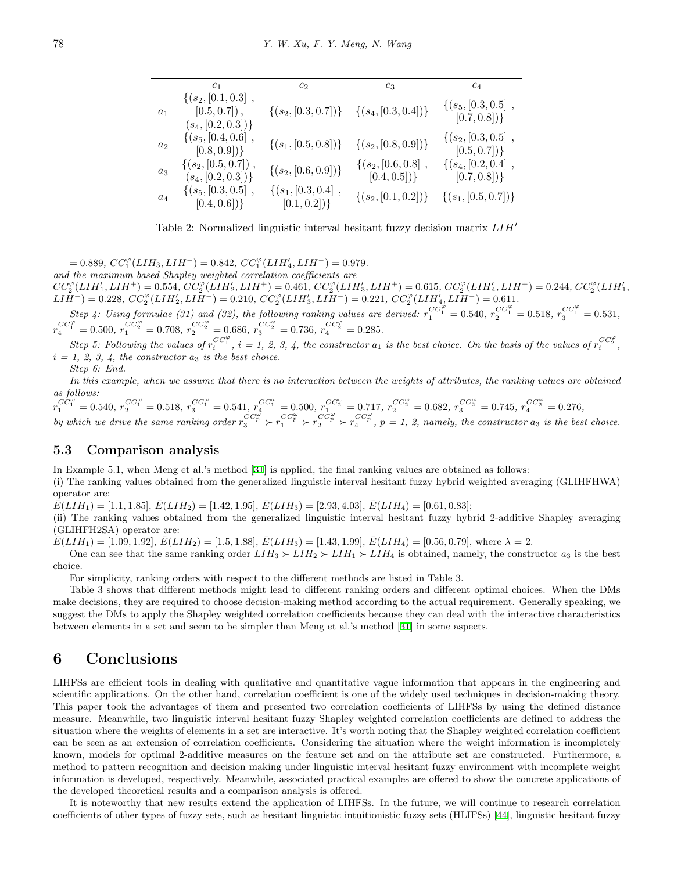|                | c <sub>1</sub>                                                           | c <sub>2</sub>                       | $c_3$                                    | $c_4$                                    |
|----------------|--------------------------------------------------------------------------|--------------------------------------|------------------------------------------|------------------------------------------|
| a <sub>1</sub> | $\{(s_2, [0.1, 0.3], \ldots,$<br>$[0.5, 0.7]$ ,<br>$(s_4, [0.2, 0.3])\}$ | $\{(s_2, [0.3, 0.7])\}$              | $\{(s_4, [0.3, 0.4])\}$                  | $\{(s_5, [0.3, 0.5],$<br>$[0.7, 0.8])\}$ |
| $a_2$          | $\{(s_5, [0.4, 0.6], \$<br>$[0.8, 0.9])\}$                               | $\{(s_1, [0.5, 0.8])\}$              | $\{(s_2, [0.8, 0.9])\}$                  | $\{(s_2, [0.3, 0.5],$<br>$[0.5, 0.7])\}$ |
| $a_3$          | $\{(s_2, [0.5, 0.7])\, ,\,$<br>$(s_4, [0.2, 0.3])\}$                     | $\{(s_2, [0.6, 0.9])\}$              | $\{(s_2, [0.6, 0.8],$<br>$[0.4, 0.5])\}$ | $\{(s_4, [0.2, 0.4],$<br>$[0.7, 0.8])\}$ |
| $a_4$          | $\{(s_5, [0.3, 0.5],$<br>$[0.4, 0.6])\}$                                 | $\{(s_1, [0.3, 0.4],$<br>[0.1, 0.2]) | $\{(s_2, [0.1, 0.2])\}$                  | $\{(s_1, [0.5, 0.7])\}$                  |

Table 2: Normalized linguistic interval hesitant fuzzy decision matrix *LIH′*

 $= 0.889, \, CC_1^{\varphi} (LIH_3, LIH^-) = 0.842, \, CC_1^{\varphi} (LIH'_4, LIH^-) = 0.979.$ 

*and the maximum based Shapley weighted correlation coefficients are*

 $CC_2^{\varphi}(LIH_1',LIH^+) = 0.554,\, CC_2^{\varphi}(LIH_2',LIH^+) = 0.461,\, CC_2^{\varphi}(LIH_3',LIH^+) = 0.615,\, CC_2^{\varphi}(LIH_4',LIH^+) = 0.244,\, CC_2^{\varphi}(LIH_1',LH^+) = 0.244$  $LIH^{-}$ ) = 0.228,  $CC_{2}^{\varphi}(LIH_{2}',LIH^{-})$  = 0.210,  $CC_{2}^{\varphi}(LIH_{3}',LIH^{-})$  = 0.221,  $CC_{2}^{\varphi}(LIH_{4}',LIH^{-})$  = 0.611.

Step 4: Using formulae (31) and (32), the following ranking values are derived:  $r_1^{CC_1^{\varphi}} = 0.540$ ,  $r_2^{CC_1^{\varphi}} = 0.518$ ,  $r_3^{CC_1^{\varphi}} = 0.531$ ,  $r_4^{CC_1^{\varphi}} = 0.500, r_1^{CC_2^{\varphi}} = 0.708, r_2^{CC_2^{\varphi}} = 0.686, r_3^{CC_2^{\varphi}} = 0.736, r_4^{CC_2^{\varphi}} = 0.285.$ 

Step 5: Following the values of  $r_i^{CC_1^{\varphi}}$ ,  $i = 1, 2, 3, 4$ , the constructor  $a_1$  is the best choice. On the basis of the values of  $r_i^{CC_2^{\varphi}}$ ,  $i = 1, 2, 3, 4$ , the constructor  $a_3$  *is the best choice.* 

*Step 6: End.*

*In this example, when we assume that there is no interaction between the weights of attributes, the ranking values are obtained as follows:*

 $r_1^{C\tilde{C}^{\omega}_1}=0.540,\, r_2^{CC^{\omega}_1}=0.518,\, r_3^{CC^{\omega}_1}=0.541,\, r_4^{CC^{\omega}_1}=0.500,\, r_1^{CC^{\omega}_2}=0.717,\, r_2^{CC^{\omega}_2}=0.682,\, r_3^{CC^{\omega}_2}=0.745,\, r_4^{CC^{\omega}_2}=0.276,\, r_4^{CC^{\omega}_1}=0.540,\, r_4^{CC^{\omega}_2}=0.540,\, r_4^{CC^{\omega}_2}=0.540,\, r_4^{CC^{\omega}_2}=0.540$ by which we drive the same ranking order  $r_3^{CC_p^{\omega}} > r_1^{CC_p^{\omega}} > r_2^{CC_p^{\omega}} > r_4^{CC_p^{\omega}}$ ,  $p = 1, 2$ , namely, the constructor  $a_3$  is the best choice.

#### **5.3 Comparison analysis**

In Example 5.1, when Meng et al.'s method [[31\]](#page-15-13) is applied, the final ranking values are obtained as follows:

(i) The ranking values obtained from the generalized linguistic interval hesitant fuzzy hybrid weighted averaging (GLIHFHWA) operator are:

 $\bar{E}(LIH_1) = [1.1, 1.85], \bar{E}(LIH_2) = [1.42, 1.95], \bar{E}(LIH_3) = [2.93, 4.03], \bar{E}(LIH_4) = [0.61, 0.83];$ 

(ii) The ranking values obtained from the generalized linguistic interval hesitant fuzzy hybrid 2-additive Shapley averaging (GLIHFH2SA) operator are:

 $\bar{E}(LIH_1) = [1.09, 1.92], \bar{E}(LIH_2) = [1.5, 1.88], \bar{E}(LIH_3) = [1.43, 1.99], \bar{E}(LIH_4) = [0.56, 0.79],$  where  $\lambda = 2$ .

One can see that the same ranking order  $LIH_3 \succ LIH_2 \succ LIH_4$  is obtained, namely, the constructor  $a_3$  is the best choice.

For simplicity, ranking orders with respect to the different methods are listed in Table 3.

Table 3 shows that different methods might lead to different ranking orders and different optimal choices. When the DMs make decisions, they are required to choose decision-making method according to the actual requirement. Generally speaking, we suggest the DMs to apply the Shapley weighted correlation coefficients because they can deal with the interactive characteristics between elements in a set and seem to be simpler than Meng et al.'s method [[31\]](#page-15-13) in some aspects.

### **6 Conclusions**

LIHFSs are efficient tools in dealing with qualitative and quantitative vague information that appears in the engineering and scientific applications. On the other hand, correlation coefficient is one of the widely used techniques in decision-making theory. This paper took the advantages of them and presented two correlation coefficients of LIHFSs by using the defined distance measure. Meanwhile, two linguistic interval hesitant fuzzy Shapley weighted correlation coefficients are defined to address the situation where the weights of elements in a set are interactive. It's worth noting that the Shapley weighted correlation coefficient can be seen as an extension of correlation coefficients. Considering the situation where the weight information is incompletely known, models for optimal 2-additive measures on the feature set and on the attribute set are constructed. Furthermore, a method to pattern recognition and decision making under linguistic interval hesitant fuzzy environment with incomplete weight information is developed, respectively. Meanwhile, associated practical examples are offered to show the concrete applications of the developed theoretical results and a comparison analysis is offered.

It is noteworthy that new results extend the application of LIHFSs. In the future, we will continue to research correlation coefficients of other types of fuzzy sets, such as hesitant linguistic intuitionistic fuzzy sets (HLIFSs) [[44\]](#page-16-11), linguistic hesitant fuzzy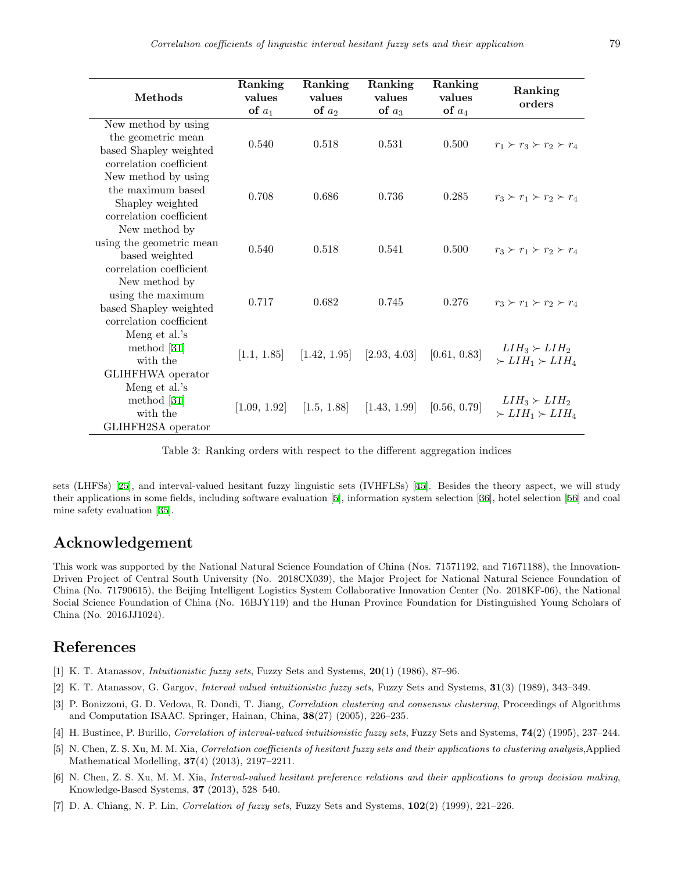| Methods                  | Ranking<br>values | Ranking<br>values | Ranking<br>values | Ranking<br>values | Ranking<br>orders                   |
|--------------------------|-------------------|-------------------|-------------------|-------------------|-------------------------------------|
|                          | of $a_1$          | of $a_2$          | of $a_3$          | of $a_4$          |                                     |
| New method by using      |                   |                   |                   |                   |                                     |
| the geometric mean       | 0.540             | 0.518             | 0.531             | 0.500             | $r_1 \succ r_3 \succ r_2 \succ r_4$ |
| based Shapley weighted   |                   |                   |                   |                   |                                     |
| correlation coefficient  |                   |                   |                   |                   |                                     |
| New method by using      |                   |                   |                   |                   |                                     |
| the maximum based        | 0.708             | 0.686             | 0.736             | 0.285             | $r_3 \succ r_1 \succ r_2 \succ r_4$ |
| Shapley weighted         |                   |                   |                   |                   |                                     |
| correlation coefficient  |                   |                   |                   |                   |                                     |
| New method by            |                   |                   |                   |                   |                                     |
| using the geometric mean | 0.540             | 0.518             | 0.541             | 0.500             | $r_3 \succ r_1 \succ r_2 \succ r_4$ |
| based weighted           |                   |                   |                   |                   |                                     |
| correlation coefficient  |                   |                   |                   |                   |                                     |
| New method by            |                   |                   |                   |                   |                                     |
| using the maximum        | 0.717             | 0.682             | 0.745             | 0.276             | $r_3 \succ r_1 \succ r_2 \succ r_4$ |
| based Shapley weighted   |                   |                   |                   |                   |                                     |
| correlation coefficient  |                   |                   |                   |                   |                                     |
| Meng et al.'s            | [1.1, 1.85]       | [1.42, 1.95]      | [2.93, 4.03]      | [0.61, 0.83]      |                                     |
| method $[31]$            |                   |                   |                   |                   | $LIH_3 \succ LIH_2$                 |
| with the                 |                   |                   |                   |                   | $\succ LIH_1 \succ LIH_4$           |
| GLIHFHWA operator        |                   |                   |                   |                   |                                     |
| Meng et al.'s            | [1.09, 1.92]      | [1.5, 1.88]       | [1.43, 1.99]      | [0.56, 0.79]      |                                     |
| method $[31]$            |                   |                   |                   |                   | $LIH_3 \succ LIH_2$                 |
| with the                 |                   |                   |                   |                   | $\succ LIH_1 \succ LIH_4$           |
| GLIHFH2SA operator       |                   |                   |                   |                   |                                     |

Table 3: Ranking orders with respect to the different aggregation indices

sets (LHFSs) [[25\]](#page-15-4), and interval-valued hesitant fuzzy linguistic sets (IVHFLSs) [[45\]](#page-16-22). Besides the theory aspect, we will study their applications in some fields, including software evaluation [[5\]](#page-14-5), information system selection [[36\]](#page-16-23), hotel selection [[56\]](#page-16-24) and coal mine safety evaluation [[35](#page-16-25)].

# **Acknowledgement**

This work was supported by the National Natural Science Foundation of China (Nos. 71571192, and 71671188), the Innovation-Driven Project of Central South University (No. 2018CX039), the Major Project for National Natural Science Foundation of China (No. 71790615), the Beijing Intelligent Logistics System Collaborative Innovation Center (No. 2018KF-06), the National Social Science Foundation of China (No. 16BJY119) and the Hunan Province Foundation for Distinguished Young Scholars of China (No. 2016JJ1024).

# **References**

- <span id="page-14-1"></span>[1] K. T. Atanassov, *Intuitionistic fuzzy sets*, Fuzzy Sets and Systems, **20**(1) (1986), 87–96.
- <span id="page-14-2"></span>[2] K. T. Atanassov, G. Gargov, *Interval valued intuitionistic fuzzy sets*, Fuzzy Sets and Systems, **31**(3) (1989), 343–349.
- <span id="page-14-4"></span>[3] P. Bonizzoni, G. D. Vedova, R. Dondi, T. Jiang, *Correlation clustering and consensus clustering*, Proceedings of Algorithms and Computation ISAAC. Springer, Hainan, China, **38**(27) (2005), 226–235.
- <span id="page-14-6"></span>[4] H. Bustince, P. Burillo, *Correlation of interval-valued intuitionistic fuzzy sets*, Fuzzy Sets and Systems, **74**(2) (1995), 237–244.
- <span id="page-14-5"></span>[5] N. Chen, Z. S. Xu, M. M. Xia, *Correlation coefficients of hesitant fuzzy sets and their applications to clustering analysis*,Applied Mathematical Modelling, **37**(4) (2013), 2197–2211.
- <span id="page-14-0"></span>[6] N. Chen, Z. S. Xu, M. M. Xia, *Interval-valued hesitant preference relations and their applications to group decision making*, Knowledge-Based Systems, **37** (2013), 528–540.
- <span id="page-14-3"></span>[7] D. A. Chiang, N. P. Lin, *Correlation of fuzzy sets*, Fuzzy Sets and Systems, **102**(2) (1999), 221–226.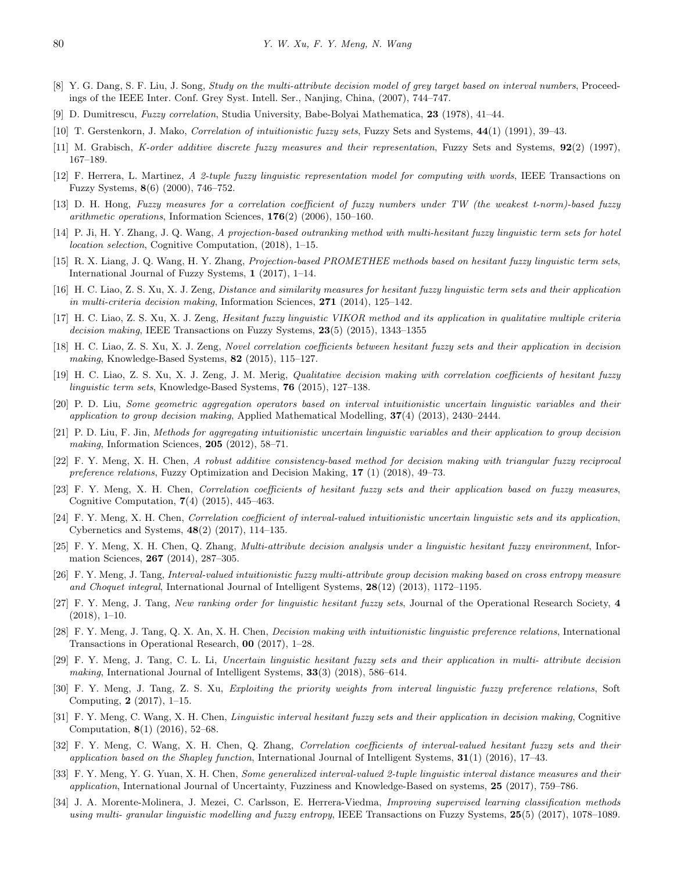- <span id="page-15-23"></span>[8] Y. G. Dang, S. F. Liu, J. Song, *Study on the multi-attribute decision model of grey target based on interval numbers*, Proceedings of the IEEE Inter. Conf. Grey Syst. Intell. Ser., Nanjing, China, (2007), 744–747.
- <span id="page-15-16"></span>[9] D. Dumitrescu, *Fuzzy correlation*, Studia University, Babe-Bolyai Mathematica, **23** (1978), 41–44.
- <span id="page-15-14"></span>[10] T. Gerstenkorn, J. Mako, *Correlation of intuitionistic fuzzy sets*, Fuzzy Sets and Systems, **44**(1) (1991), 39–43.
- <span id="page-15-21"></span>[11] M. Grabisch, *K-order additive discrete fuzzy measures and their representation*, Fuzzy Sets and Systems, **92**(2) (1997), 167–189.
- <span id="page-15-3"></span>[12] F. Herrera, L. Martinez, *A 2-tuple fuzzy linguistic representation model for computing with words*, IEEE Transactions on Fuzzy Systems, **8**(6) (2000), 746–752.
- <span id="page-15-17"></span>[13] D. H. Hong, *Fuzzy measures for a correlation coefficient of fuzzy numbers under TW (the weakest t-norm)-based fuzzy arithmetic operations*, Information Sciences, **176**(2) (2006), 150–160.
- <span id="page-15-10"></span>[14] P. Ji, H. Y. Zhang, J. Q. Wang, *A projection-based outranking method with multi-hesitant fuzzy linguistic term sets for hotel location selection*, Cognitive Computation, (2018), 1–15.
- <span id="page-15-9"></span>[15] R. X. Liang, J. Q. Wang, H. Y. Zhang, *Projection-based PROMETHEE methods based on hesitant fuzzy linguistic term sets*, International Journal of Fuzzy Systems, **1** (2017), 1–14.
- <span id="page-15-0"></span>[16] H. C. Liao, Z. S. Xu, X. J. Zeng, *Distance and similarity measures for hesitant fuzzy linguistic term sets and their application in multi-criteria decision making*, Information Sciences, **271** (2014), 125–142.
- <span id="page-15-1"></span>[17] H. C. Liao, Z. S. Xu, X. J. Zeng, *Hesitant fuzzy linguistic VIKOR method and its application in qualitative multiple criteria decision making*, IEEE Transactions on Fuzzy Systems, **23**(5) (2015), 1343–1355
- <span id="page-15-15"></span>[18] H. C. Liao, Z. S. Xu, X. J. Zeng, *Novel correlation coefficients between hesitant fuzzy sets and their application in decision making*, Knowledge-Based Systems, **82** (2015), 115–127.
- <span id="page-15-18"></span>[19] H. C. Liao, Z. S. Xu, X. J. Zeng, J. M. Merig, *Qualitative decision making with correlation coefficients of hesitant fuzzy linguistic term sets*, Knowledge-Based Systems, **76** (2015), 127–138.
- <span id="page-15-8"></span>[20] P. D. Liu, *Some geometric aggregation operators based on interval intuitionistic uncertain linguistic variables and their application to group decision making*, Applied Mathematical Modelling, **37**(4) (2013), 2430–2444.
- <span id="page-15-7"></span>[21] P. D. Liu, F. Jin, *Methods for aggregating intuitionistic uncertain linguistic variables and their application to group decision making*, Information Sciences, **205** (2012), 58–71.
- <span id="page-15-2"></span>[22] F. Y. Meng, X. H. Chen, *A robust additive consistency-based method for decision making with triangular fuzzy reciprocal preference relations*, Fuzzy Optimization and Decision Making, **17** (1) (2018), 49–73.
- <span id="page-15-20"></span>[23] F. Y. Meng, X. H. Chen, *Correlation coefficients of hesitant fuzzy sets and their application based on fuzzy measures*, Cognitive Computation, **7**(4) (2015), 445–463.
- <span id="page-15-19"></span>[24] F. Y. Meng, X. H. Chen, *Correlation coefficient of interval-valued intuitionistic uncertain linguistic sets and its application*, Cybernetics and Systems, **48**(2) (2017), 114–135.
- <span id="page-15-4"></span>[25] F. Y. Meng, X. H. Chen, Q. Zhang, *Multi-attribute decision analysis under a linguistic hesitant fuzzy environment*, Information Sciences, **267** (2014), 287–305.
- <span id="page-15-22"></span>[26] F. Y. Meng, J. Tang, *Interval-valued intuitionistic fuzzy multi-attribute group decision making based on cross entropy measure and Choquet integral*, International Journal of Intelligent Systems, **28**(12) (2013), 1172–1195.
- <span id="page-15-11"></span>[27] F. Y. Meng, J. Tang, *New ranking order for linguistic hesitant fuzzy sets*, Journal of the Operational Research Society, **4** (2018), 1–10.
- [28] F. Y. Meng, J. Tang, Q. X. An, X. H. Chen, *Decision making with intuitionistic linguistic preference relations*, International Transactions in Operational Research, **00** (2017), 1–28.
- <span id="page-15-12"></span>[29] F. Y. Meng, J. Tang, C. L. Li, *Uncertain linguistic hesitant fuzzy sets and their application in multi- attribute decision making*, International Journal of Intelligent Systems, **33**(3) (2018), 586–614.
- <span id="page-15-5"></span>[30] F. Y. Meng, J. Tang, Z. S. Xu, *Exploiting the priority weights from interval linguistic fuzzy preference relations*, Soft Computing, **2** (2017), 1–15.
- <span id="page-15-13"></span>[31] F. Y. Meng, C. Wang, X. H. Chen, *Linguistic interval hesitant fuzzy sets and their application in decision making*, Cognitive Computation, **8**(1) (2016), 52–68.
- <span id="page-15-24"></span>[32] F. Y. Meng, C. Wang, X. H. Chen, Q. Zhang, *Correlation coefficients of interval-valued hesitant fuzzy sets and their application based on the Shapley function*, International Journal of Intelligent Systems, **31**(1) (2016), 17–43.
- <span id="page-15-25"></span>[33] F. Y. Meng, Y. G. Yuan, X. H. Chen, *Some generalized interval-valued 2-tuple linguistic interval distance measures and their application*, International Journal of Uncertainty, Fuzziness and Knowledge-Based on systems, **25** (2017), 759–786.
- <span id="page-15-6"></span>[34] J. A. Morente-Molinera, J. Mezei, C. Carlsson, E. Herrera-Viedma, *Improving supervised learning classification methods using multi- granular linguistic modelling and fuzzy entropy*, IEEE Transactions on Fuzzy Systems, **25**(5) (2017), 1078–1089.